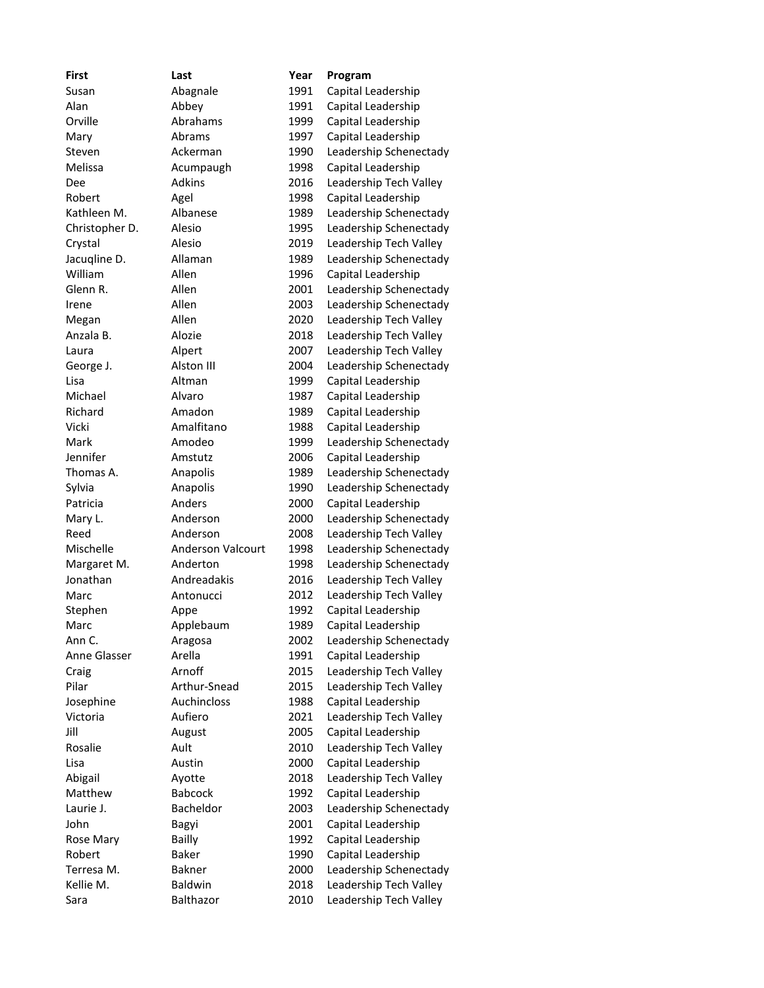| <b>First</b>   | Last                     | Year | Program                |
|----------------|--------------------------|------|------------------------|
| Susan          | Abagnale                 | 1991 | Capital Leadership     |
| Alan           | Abbey                    | 1991 | Capital Leadership     |
| Orville        | Abrahams                 | 1999 | Capital Leadership     |
| Mary           | Abrams                   | 1997 | Capital Leadership     |
| Steven         | Ackerman                 | 1990 | Leadership Schenectady |
| Melissa        | Acumpaugh                | 1998 | Capital Leadership     |
| Dee            | <b>Adkins</b>            | 2016 | Leadership Tech Valley |
| Robert         | Agel                     | 1998 | Capital Leadership     |
| Kathleen M.    | Albanese                 | 1989 | Leadership Schenectady |
| Christopher D. | Alesio                   | 1995 | Leadership Schenectady |
| Crystal        | Alesio                   | 2019 | Leadership Tech Valley |
| Jacuqline D.   | Allaman                  | 1989 | Leadership Schenectady |
| William        | Allen                    | 1996 | Capital Leadership     |
| Glenn R.       | Allen                    | 2001 | Leadership Schenectady |
| Irene          | Allen                    | 2003 | Leadership Schenectady |
| Megan          | Allen                    | 2020 | Leadership Tech Valley |
| Anzala B.      | Alozie                   | 2018 | Leadership Tech Valley |
| Laura          | Alpert                   | 2007 | Leadership Tech Valley |
| George J.      | Alston III               | 2004 | Leadership Schenectady |
| Lisa           | Altman                   | 1999 | Capital Leadership     |
| Michael        | Alvaro                   | 1987 | Capital Leadership     |
| Richard        | Amadon                   | 1989 | Capital Leadership     |
| Vicki          | Amalfitano               | 1988 | Capital Leadership     |
| Mark           | Amodeo                   | 1999 | Leadership Schenectady |
| Jennifer       | Amstutz                  | 2006 | Capital Leadership     |
| Thomas A.      | Anapolis                 | 1989 | Leadership Schenectady |
| Sylvia         | Anapolis                 | 1990 | Leadership Schenectady |
| Patricia       | Anders                   | 2000 | Capital Leadership     |
| Mary L.        | Anderson                 | 2000 | Leadership Schenectady |
| Reed           | Anderson                 | 2008 | Leadership Tech Valley |
| Mischelle      | <b>Anderson Valcourt</b> | 1998 | Leadership Schenectady |
| Margaret M.    | Anderton                 | 1998 | Leadership Schenectady |
| Jonathan       | Andreadakis              | 2016 | Leadership Tech Valley |
| Marc           | Antonucci                | 2012 | Leadership Tech Valley |
| Stephen        | Appe                     | 1992 | Capital Leadership     |
| Marc           | Applebaum                | 1989 | Capital Leadership     |
| Ann C.         | Aragosa                  | 2002 | Leadership Schenectady |
| Anne Glasser   | Arella                   | 1991 | Capital Leadership     |
| Craig          | Arnoff                   | 2015 | Leadership Tech Valley |
| Pilar          | Arthur-Snead             | 2015 | Leadership Tech Valley |
| Josephine      | Auchincloss              | 1988 | Capital Leadership     |
| Victoria       | Aufiero                  | 2021 | Leadership Tech Valley |
| Jill           | August                   | 2005 | Capital Leadership     |
| Rosalie        | Ault                     | 2010 | Leadership Tech Valley |
| Lisa           | Austin                   | 2000 | Capital Leadership     |
| Abigail        | Ayotte                   | 2018 | Leadership Tech Valley |
| Matthew        | <b>Babcock</b>           | 1992 | Capital Leadership     |
| Laurie J.      | Bacheldor                | 2003 | Leadership Schenectady |
| John           | Bagyi                    | 2001 | Capital Leadership     |
| Rose Mary      | <b>Bailly</b>            | 1992 | Capital Leadership     |
| Robert         | <b>Baker</b>             | 1990 | Capital Leadership     |
| Terresa M.     | <b>Bakner</b>            | 2000 | Leadership Schenectady |
| Kellie M.      | Baldwin                  | 2018 | Leadership Tech Valley |
| Sara           | Balthazor                | 2010 | Leadership Tech Valley |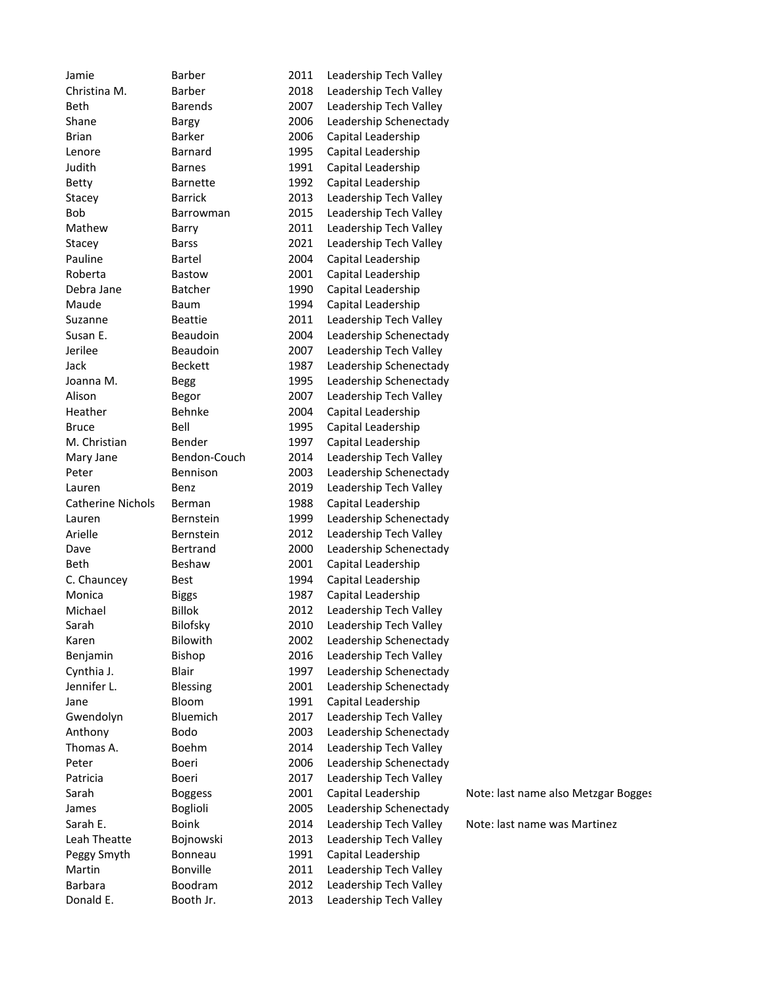| Jamie                    | <b>Barber</b>    | 2011 | Leadership Tech Valley |                                     |
|--------------------------|------------------|------|------------------------|-------------------------------------|
| Christina M.             | <b>Barber</b>    | 2018 | Leadership Tech Valley |                                     |
| Beth                     | <b>Barends</b>   | 2007 | Leadership Tech Valley |                                     |
| Shane                    | Bargy            | 2006 | Leadership Schenectady |                                     |
| <b>Brian</b>             | <b>Barker</b>    | 2006 | Capital Leadership     |                                     |
| Lenore                   | Barnard          | 1995 | Capital Leadership     |                                     |
| Judith                   | <b>Barnes</b>    | 1991 | Capital Leadership     |                                     |
| <b>Betty</b>             | <b>Barnette</b>  | 1992 | Capital Leadership     |                                     |
| Stacey                   | <b>Barrick</b>   | 2013 | Leadership Tech Valley |                                     |
| <b>Bob</b>               | Barrowman        | 2015 | Leadership Tech Valley |                                     |
| Mathew                   | Barry            | 2011 | Leadership Tech Valley |                                     |
| Stacey                   | <b>Barss</b>     | 2021 | Leadership Tech Valley |                                     |
| Pauline                  | Bartel           | 2004 | Capital Leadership     |                                     |
| Roberta                  | Bastow           | 2001 | Capital Leadership     |                                     |
| Debra Jane               | <b>Batcher</b>   | 1990 | Capital Leadership     |                                     |
| Maude                    | Baum             | 1994 | Capital Leadership     |                                     |
| Suzanne                  | <b>Beattie</b>   | 2011 | Leadership Tech Valley |                                     |
| Susan E.                 | Beaudoin         | 2004 | Leadership Schenectady |                                     |
| Jerilee                  | Beaudoin         | 2007 | Leadership Tech Valley |                                     |
| Jack                     | <b>Beckett</b>   | 1987 | Leadership Schenectady |                                     |
| Joanna M.                | Begg             | 1995 | Leadership Schenectady |                                     |
| Alison                   | Begor            | 2007 | Leadership Tech Valley |                                     |
| Heather                  | Behnke           | 2004 | Capital Leadership     |                                     |
| <b>Bruce</b>             | Bell             | 1995 | Capital Leadership     |                                     |
| M. Christian             | Bender           | 1997 | Capital Leadership     |                                     |
| Mary Jane                | Bendon-Couch     | 2014 | Leadership Tech Valley |                                     |
| Peter                    | Bennison         | 2003 | Leadership Schenectady |                                     |
| Lauren                   | Benz             | 2019 | Leadership Tech Valley |                                     |
| <b>Catherine Nichols</b> | Berman           | 1988 | Capital Leadership     |                                     |
| Lauren                   | Bernstein        | 1999 | Leadership Schenectady |                                     |
| Arielle                  | <b>Bernstein</b> | 2012 | Leadership Tech Valley |                                     |
| Dave                     | Bertrand         | 2000 | Leadership Schenectady |                                     |
| Beth                     | Beshaw           | 2001 | Capital Leadership     |                                     |
| C. Chauncey              | Best             | 1994 | Capital Leadership     |                                     |
| Monica                   | <b>Biggs</b>     | 1987 | Capital Leadership     |                                     |
| Michael                  | <b>Billok</b>    | 2012 | Leadership Tech Valley |                                     |
| Sarah                    | <b>Bilofsky</b>  | 2010 | Leadership Tech Valley |                                     |
| Karen                    | Bilowith         | 2002 | Leadership Schenectady |                                     |
| Benjamin                 | Bishop           | 2016 | Leadership Tech Valley |                                     |
| Cynthia J.               | Blair            | 1997 | Leadership Schenectady |                                     |
| Jennifer L.              | Blessing         | 2001 | Leadership Schenectady |                                     |
| Jane                     | Bloom            | 1991 | Capital Leadership     |                                     |
| Gwendolyn                | Bluemich         | 2017 | Leadership Tech Valley |                                     |
| Anthony                  | <b>Bodo</b>      | 2003 | Leadership Schenectady |                                     |
| Thomas A.                | <b>Boehm</b>     | 2014 | Leadership Tech Valley |                                     |
| Peter                    | Boeri            | 2006 | Leadership Schenectady |                                     |
| Patricia                 | Boeri            | 2017 | Leadership Tech Valley |                                     |
| Sarah                    | <b>Boggess</b>   | 2001 | Capital Leadership     | Note: last name also Metzgar Bogges |
| James                    | <b>Boglioli</b>  | 2005 | Leadership Schenectady |                                     |
| Sarah E.                 | <b>Boink</b>     | 2014 | Leadership Tech Valley | Note: last name was Martinez        |
| Leah Theatte             | Bojnowski        | 2013 | Leadership Tech Valley |                                     |
| Peggy Smyth              | Bonneau          | 1991 | Capital Leadership     |                                     |
| Martin                   | Bonville         | 2011 | Leadership Tech Valley |                                     |
| <b>Barbara</b>           | Boodram          | 2012 | Leadership Tech Valley |                                     |
| Donald E.                | Booth Jr.        | 2013 | Leadership Tech Valley |                                     |
|                          |                  |      |                        |                                     |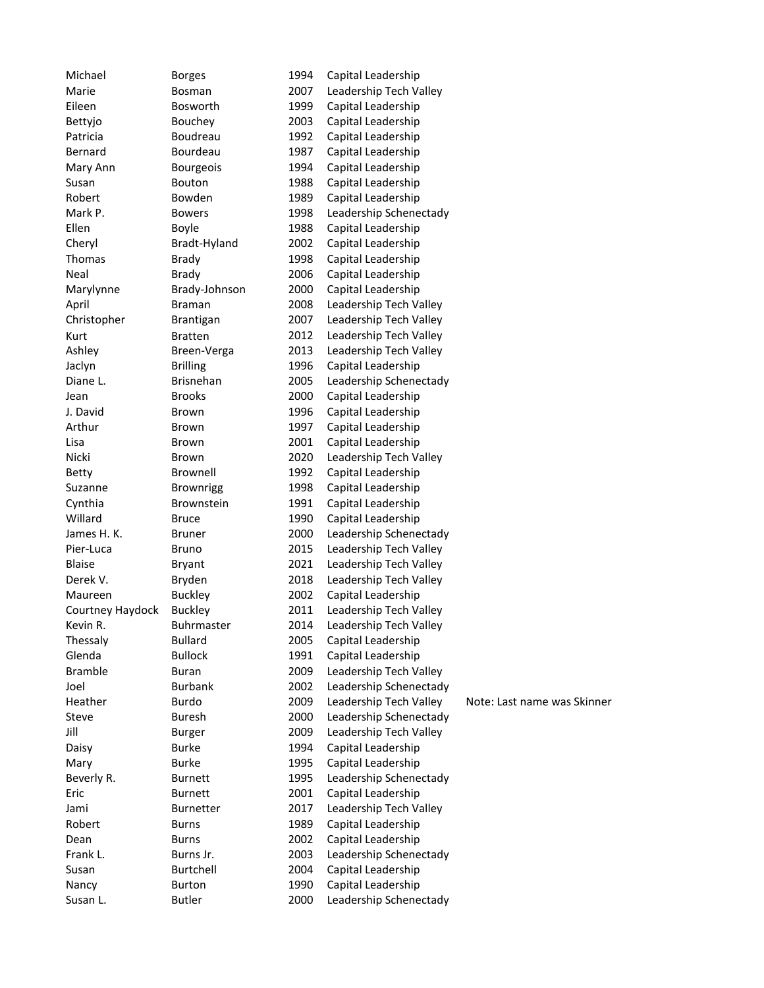| Michael          | <b>Borges</b>      | 1994 | Capital Leadership                       |                             |
|------------------|--------------------|------|------------------------------------------|-----------------------------|
| Marie            | Bosman             | 2007 | Leadership Tech Valley                   |                             |
| Eileen           | Bosworth           | 1999 | Capital Leadership                       |                             |
| Bettyjo          | Bouchey            | 2003 | Capital Leadership                       |                             |
| Patricia         | Boudreau           | 1992 | Capital Leadership                       |                             |
| Bernard          | Bourdeau           | 1987 | Capital Leadership                       |                             |
| Mary Ann         | <b>Bourgeois</b>   | 1994 | Capital Leadership                       |                             |
| Susan            | Bouton             | 1988 | Capital Leadership                       |                             |
| Robert           | Bowden             | 1989 | Capital Leadership                       |                             |
| Mark P.          | <b>Bowers</b>      | 1998 | Leadership Schenectady                   |                             |
| Ellen            | Boyle              | 1988 | Capital Leadership                       |                             |
| Cheryl           | Bradt-Hyland       | 2002 | Capital Leadership                       |                             |
| Thomas           | <b>Brady</b>       | 1998 | Capital Leadership                       |                             |
| Neal             | <b>Brady</b>       | 2006 | Capital Leadership                       |                             |
| Marylynne        | Brady-Johnson      | 2000 | Capital Leadership                       |                             |
| April            | Braman             | 2008 | Leadership Tech Valley                   |                             |
| Christopher      | Brantigan          | 2007 | Leadership Tech Valley                   |                             |
| Kurt             | <b>Bratten</b>     | 2012 | Leadership Tech Valley                   |                             |
| Ashley           | Breen-Verga        | 2013 | Leadership Tech Valley                   |                             |
| Jaclyn           | <b>Brilling</b>    | 1996 | Capital Leadership                       |                             |
| Diane L.         | <b>Brisnehan</b>   | 2005 | Leadership Schenectady                   |                             |
| Jean             | <b>Brooks</b>      | 2000 | Capital Leadership                       |                             |
| J. David         | <b>Brown</b>       | 1996 | Capital Leadership                       |                             |
| Arthur           | Brown              | 1997 | Capital Leadership                       |                             |
| Lisa             | Brown              | 2001 | Capital Leadership                       |                             |
| Nicki            | <b>Brown</b>       | 2020 | Leadership Tech Valley                   |                             |
| <b>Betty</b>     | Brownell           | 1992 | Capital Leadership                       |                             |
| Suzanne          | <b>Brownrigg</b>   | 1998 | Capital Leadership                       |                             |
| Cynthia          | Brownstein         | 1991 | Capital Leadership                       |                             |
| Willard          | <b>Bruce</b>       | 1990 | Capital Leadership                       |                             |
| James H. K.      | <b>Bruner</b>      | 2000 | Leadership Schenectady                   |                             |
| Pier-Luca        | <b>Bruno</b>       | 2015 | Leadership Tech Valley                   |                             |
| <b>Blaise</b>    | Bryant             | 2021 | Leadership Tech Valley                   |                             |
| Derek V.         | Bryden             | 2018 | Leadership Tech Valley                   |                             |
| Maureen          | <b>Buckley</b>     | 2002 | Capital Leadership                       |                             |
| Courtney Haydock | <b>Buckley</b>     | 2011 | Leadership Tech Valley                   |                             |
| Kevin R.         | <b>Buhrmaster</b>  | 2014 | Leadership Tech Valley                   |                             |
| Thessaly         | <b>Bullard</b>     | 2005 | Capital Leadership                       |                             |
| Glenda           | <b>Bullock</b>     | 1991 | Capital Leadership                       |                             |
| <b>Bramble</b>   | <b>Buran</b>       | 2009 | Leadership Tech Valley                   |                             |
| Joel             | <b>Burbank</b>     | 2002 | Leadership Schenectady                   |                             |
| Heather          | <b>Burdo</b>       | 2009 | Leadership Tech Valley                   | Note: Last name was Skinner |
| Steve            | <b>Buresh</b>      | 2000 | Leadership Schenectady                   |                             |
| Jill             | <b>Burger</b>      | 2009 | Leadership Tech Valley                   |                             |
| Daisy            | <b>Burke</b>       | 1994 | Capital Leadership                       |                             |
| Mary             | <b>Burke</b>       | 1995 | Capital Leadership                       |                             |
| Beverly R.       | <b>Burnett</b>     | 1995 | Leadership Schenectady                   |                             |
| Eric             | <b>Burnett</b>     | 2001 | Capital Leadership                       |                             |
| Jami             | Burnetter          | 2017 | Leadership Tech Valley                   |                             |
| Robert           |                    | 1989 |                                          |                             |
|                  | <b>Burns</b>       | 2002 | Capital Leadership<br>Capital Leadership |                             |
| Dean<br>Frank L. | Burns<br>Burns Jr. | 2003 | Leadership Schenectady                   |                             |
| Susan            |                    | 2004 | Capital Leadership                       |                             |
|                  | Burtchell          | 1990 | Capital Leadership                       |                             |
| Nancy            | <b>Burton</b>      |      |                                          |                             |
| Susan L.         | <b>Butler</b>      | 2000 | Leadership Schenectady                   |                             |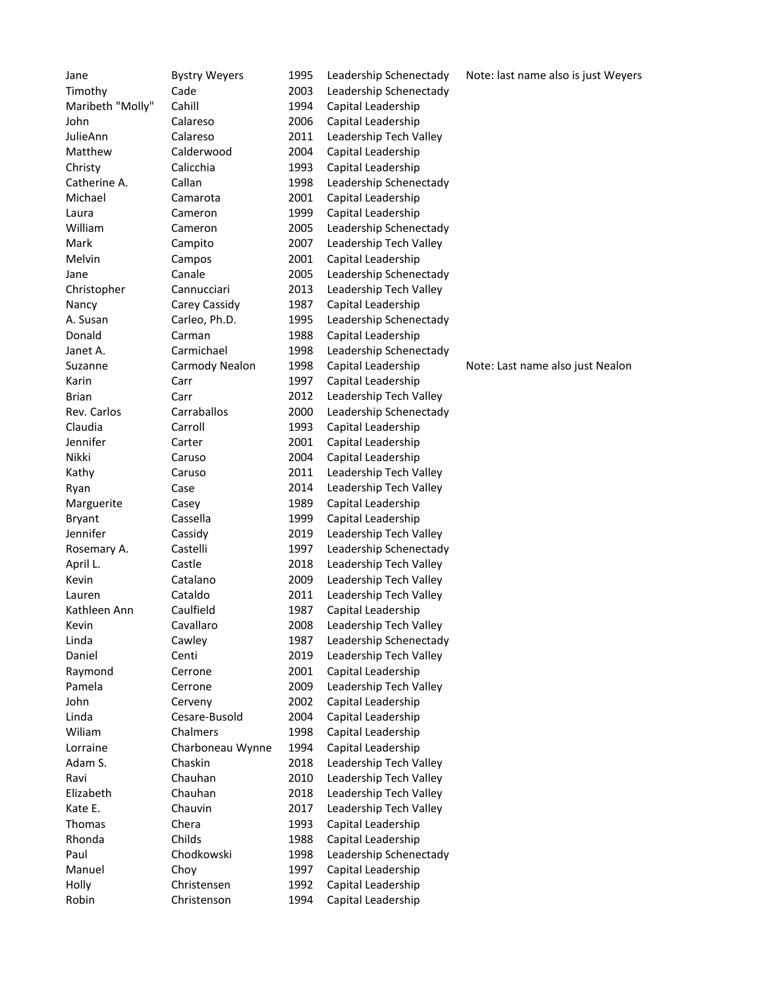| Jane              | <b>Bystry Weyers</b> | 1995         | Leadership Schenectady | Note: last name also is just Weyers |
|-------------------|----------------------|--------------|------------------------|-------------------------------------|
| Timothy           | Cade                 | 2003         | Leadership Schenectady |                                     |
| Maribeth "Molly"  | Cahill               | 1994         | Capital Leadership     |                                     |
| John              | Calareso             | 2006         | Capital Leadership     |                                     |
| JulieAnn          | Calareso             | 2011         | Leadership Tech Valley |                                     |
| Matthew           | Calderwood           | 2004         | Capital Leadership     |                                     |
| Christy           | Calicchia            | 1993         | Capital Leadership     |                                     |
| Catherine A.      | Callan               | 1998         | Leadership Schenectady |                                     |
| Michael           | Camarota             | 2001         | Capital Leadership     |                                     |
| Laura             | Cameron              | 1999         | Capital Leadership     |                                     |
| William           | Cameron              | 2005         | Leadership Schenectady |                                     |
| Mark              | Campito              | 2007         | Leadership Tech Valley |                                     |
| Melvin            | Campos               | 2001         | Capital Leadership     |                                     |
| Jane              | Canale               | 2005         | Leadership Schenectady |                                     |
| Christopher       | Cannucciari          | 2013         | Leadership Tech Valley |                                     |
| Nancy             | Carey Cassidy        | 1987         | Capital Leadership     |                                     |
| A. Susan          | Carleo, Ph.D.        | 1995         | Leadership Schenectady |                                     |
| Donald            | Carman               | 1988         | Capital Leadership     |                                     |
| Janet A.          | Carmichael           | 1998         | Leadership Schenectady |                                     |
| Suzanne           | Carmody Nealon       | 1998         | Capital Leadership     | Note: Last name also just Nealon    |
| Karin             | Carr                 | 1997         | Capital Leadership     |                                     |
| <b>Brian</b>      | Carr                 | 2012         | Leadership Tech Valley |                                     |
| Rev. Carlos       | Carraballos          | 2000         | Leadership Schenectady |                                     |
| Claudia           | Carroll              | 1993         | Capital Leadership     |                                     |
| Jennifer          | Carter               | 2001         | Capital Leadership     |                                     |
| Nikki             | Caruso               | 2004         | Capital Leadership     |                                     |
| Kathy             | Caruso               | 2011         | Leadership Tech Valley |                                     |
| Ryan              | Case                 | 2014         | Leadership Tech Valley |                                     |
| Marguerite        | Casey                | 1989         | Capital Leadership     |                                     |
| <b>Bryant</b>     | Cassella             | 1999         | Capital Leadership     |                                     |
| Jennifer          | Cassidy              | 2019         | Leadership Tech Valley |                                     |
| Rosemary A.       | Castelli             | 1997         | Leadership Schenectady |                                     |
| April L.          | Castle               | 2018         | Leadership Tech Valley |                                     |
| Kevin             | Catalano             | 2009         | Leadership Tech Valley |                                     |
| Lauren            | Cataldo              | 2011         | Leadership Tech Valley |                                     |
| Kathleen Ann      | Caulfield            | 1987         | Capital Leadership     |                                     |
| Kevin             | Cavallaro            | 2008         | Leadership Tech Valley |                                     |
| Linda             | Cawley               | 1987         | Leadership Schenectady |                                     |
| Daniel            | Centi                | 2019         | Leadership Tech Valley |                                     |
| Raymond           | Cerrone              | 2001         | Capital Leadership     |                                     |
| Pamela            | Cerrone              | 2009         | Leadership Tech Valley |                                     |
| John              | Cerveny              | 2002         | Capital Leadership     |                                     |
| Linda             | Cesare-Busold        | 2004         | Capital Leadership     |                                     |
| Wiliam            | Chalmers             | 1998         | Capital Leadership     |                                     |
| Lorraine          | Charboneau Wynne     | 1994         | Capital Leadership     |                                     |
| Adam S.           | Chaskin              | 2018         | Leadership Tech Valley |                                     |
|                   |                      |              |                        |                                     |
| Ravi<br>Elizabeth | Chauhan<br>Chauhan   | 2010<br>2018 | Leadership Tech Valley |                                     |
|                   | Chauvin              |              | Leadership Tech Valley |                                     |
| Kate E.<br>Thomas | Chera                | 2017         | Leadership Tech Valley |                                     |
|                   |                      | 1993         | Capital Leadership     |                                     |
| Rhonda            | Childs               | 1988         | Capital Leadership     |                                     |
| Paul              | Chodkowski           | 1998         | Leadership Schenectady |                                     |
| Manuel            | Choy                 | 1997         | Capital Leadership     |                                     |
| Holly             | Christensen          | 1992         | Capital Leadership     |                                     |
| Robin             | Christenson          | 1994         | Capital Leadership     |                                     |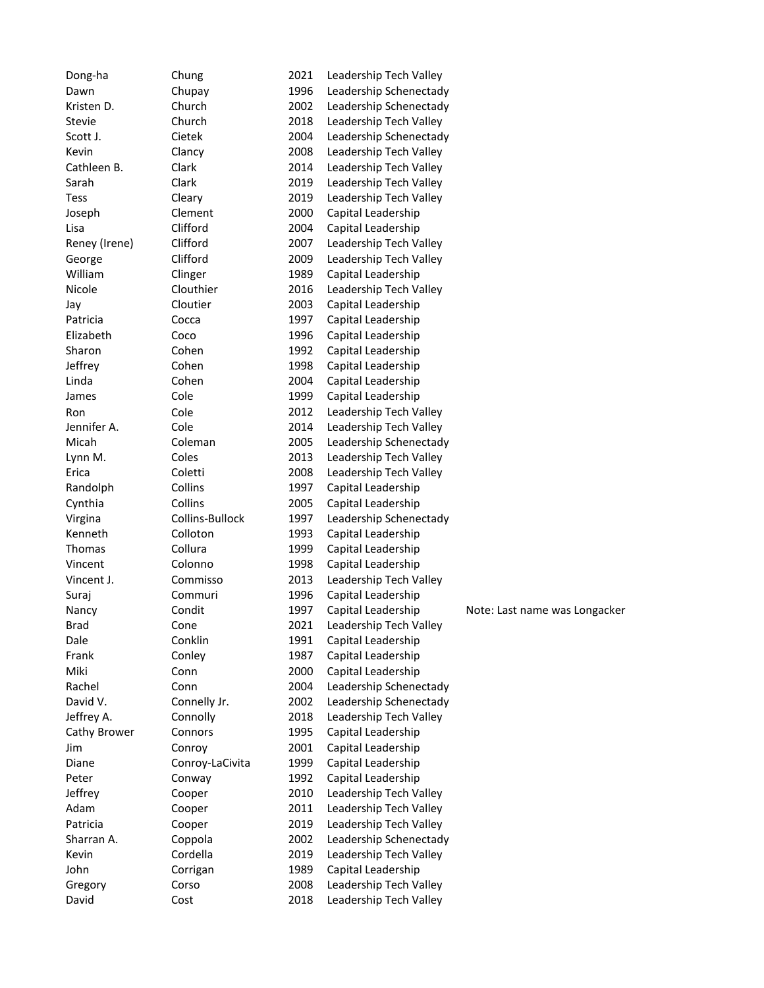| Dong-ha        | Chung                     | 2021 | Leadership Tech Valley |                               |
|----------------|---------------------------|------|------------------------|-------------------------------|
| Dawn           | Chupay                    | 1996 | Leadership Schenectady |                               |
| Kristen D.     | Church                    | 2002 | Leadership Schenectady |                               |
| Stevie         | Church                    | 2018 | Leadership Tech Valley |                               |
| Scott J.       | Cietek                    | 2004 | Leadership Schenectady |                               |
| Kevin          | Clancy                    | 2008 | Leadership Tech Valley |                               |
| Cathleen B.    | Clark                     | 2014 | Leadership Tech Valley |                               |
| Sarah          | Clark                     | 2019 | Leadership Tech Valley |                               |
| <b>Tess</b>    | Cleary                    | 2019 | Leadership Tech Valley |                               |
| Joseph         | Clement                   | 2000 | Capital Leadership     |                               |
| Lisa           | Clifford                  | 2004 | Capital Leadership     |                               |
| Reney (Irene)  | Clifford                  | 2007 | Leadership Tech Valley |                               |
| George         | Clifford                  | 2009 | Leadership Tech Valley |                               |
| William        | Clinger                   | 1989 | Capital Leadership     |                               |
| Nicole         | Clouthier                 | 2016 | Leadership Tech Valley |                               |
| Jay            | Cloutier                  | 2003 | Capital Leadership     |                               |
| Patricia       | Cocca                     | 1997 | Capital Leadership     |                               |
| Elizabeth      | Coco                      | 1996 | Capital Leadership     |                               |
| Sharon         | Cohen                     | 1992 | Capital Leadership     |                               |
| Jeffrey        | Cohen                     | 1998 | Capital Leadership     |                               |
| Linda          | Cohen                     | 2004 | Capital Leadership     |                               |
| James          | Cole                      | 1999 | Capital Leadership     |                               |
| Ron            | Cole                      | 2012 | Leadership Tech Valley |                               |
| Jennifer A.    | Cole                      | 2014 | Leadership Tech Valley |                               |
| Micah          | Coleman                   | 2005 | Leadership Schenectady |                               |
| Lynn M.        | Coles                     | 2013 | Leadership Tech Valley |                               |
| Erica          | Coletti                   | 2008 | Leadership Tech Valley |                               |
| Randolph       | Collins                   | 1997 | Capital Leadership     |                               |
| Cynthia        | Collins                   | 2005 | Capital Leadership     |                               |
| Virgina        | Collins-Bullock           | 1997 | Leadership Schenectady |                               |
| Kenneth        | Colloton                  | 1993 | Capital Leadership     |                               |
| Thomas         | Collura                   | 1999 | Capital Leadership     |                               |
| Vincent        | Colonno                   | 1998 | Capital Leadership     |                               |
| Vincent J.     | Commisso                  | 2013 | Leadership Tech Valley |                               |
| Suraj          | Commuri                   | 1996 | Capital Leadership     |                               |
| Nancy          | Condit                    | 1997 | Capital Leadership     | Note: Last name was Longacker |
| <b>Brad</b>    | Cone                      | 2021 | Leadership Tech Valley |                               |
| Dale           | Conklin                   | 1991 | Capital Leadership     |                               |
| Frank          | Conley                    | 1987 | Capital Leadership     |                               |
| Miki           | Conn                      | 2000 | Capital Leadership     |                               |
| Rachel         | Conn                      | 2004 | Leadership Schenectady |                               |
| David V.       | Connelly Jr.              | 2002 | Leadership Schenectady |                               |
| Jeffrey A.     | Connolly                  | 2018 | Leadership Tech Valley |                               |
| Cathy Brower   | Connors                   | 1995 | Capital Leadership     |                               |
|                |                           | 2001 | Capital Leadership     |                               |
| Jim            | Conroy<br>Conroy-LaCivita | 1999 | Capital Leadership     |                               |
| Diane<br>Peter |                           |      |                        |                               |
| Jeffrey        | Conway                    | 1992 | Capital Leadership     |                               |
|                | Cooper                    | 2010 | Leadership Tech Valley |                               |
| Adam           | Cooper                    | 2011 | Leadership Tech Valley |                               |
| Patricia       | Cooper                    | 2019 | Leadership Tech Valley |                               |
| Sharran A.     | Coppola                   | 2002 | Leadership Schenectady |                               |
| Kevin          | Cordella                  | 2019 | Leadership Tech Valley |                               |
| John           | Corrigan                  | 1989 | Capital Leadership     |                               |
| Gregory        | Corso                     | 2008 | Leadership Tech Valley |                               |
| David          | Cost                      | 2018 | Leadership Tech Valley |                               |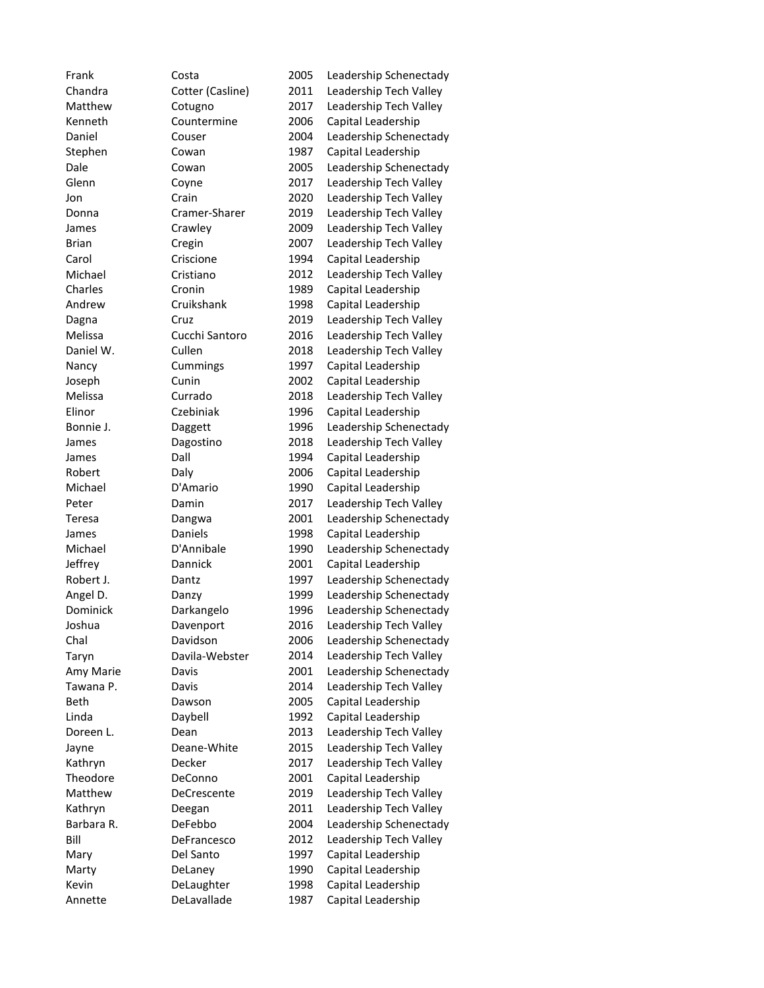Frank Costa 2005 Leadership Schenectady Chandra Cotter (Casline) 2011 Leadership Tech Valley Matthew Cotugno 2017 Leadership Tech Valley Kenneth Countermine 2006 Capital Leadership Daniel Couser 2004 Leadership Schenectady Stephen Cowan 1987 Capital Leadership Dale Cowan 2005 Leadership Schenectady Glenn Coyne 2017 Leadership Tech Valley Jon Crain 2020 Leadership Tech Valley Donna Cramer-Sharer 2019 Leadership Tech Valley James Crawley 2009 Leadership Tech Valley Brian Cregin 2007 Leadership Tech Valley Carol Criscione 1994 Capital Leadership Michael Cristiano 2012 Leadership Tech Valley Charles Cronin 1989 Capital Leadership Andrew Cruikshank 1998 Capital Leadership Dagna Cruz Cruz 2019 Leadership Tech Valley Melissa Cucchi Santoro 2016 Leadership Tech Valley Daniel W. Cullen 2018 Leadership Tech Valley Nancy Cummings 1997 Capital Leadership Joseph Cunin 2002 Capital Leadership Melissa Currado 2018 Leadership Tech Valley Elinor Czebiniak 1996 Capital Leadership Bonnie J. Canades Daggett 1996 Leadership Schenectady James Dagostino 2018 Leadership Tech Valley James Dall Dall 1994 Capital Leadership Robert Daly Daly 2006 Capital Leadership Michael D'Amario 1990 Capital Leadership Peter **Damin** 2017 Leadership Tech Valley Teresa Dangwa 2001 Leadership Schenectady James Daniels 1998 Capital Leadership Michael D'Annibale 1990 Leadership Schenectady Jeffrey Dannick 2001 Capital Leadership Robert J. Dantz Dantz 1997 Leadership Schenectady Angel D. Canzy Chanzy 1999 Leadership Schenectady Dominick Darkangelo 1996 Leadership Schenectady Joshua Davenport 2016 Leadership Tech Valley Chal Davidson 2006 Leadership Schenectady Taryn Davila-Webster 2014 Leadership Tech Valley Amy Marie Davis 2001 Leadership Schenectady Tawana P. Caris Carrister Maria 2014 Leadership Tech Valley Beth Dawson 2005 Capital Leadership Linda Daybell 1992 Capital Leadership Doreen L. **Dean** 2013 Leadership Tech Valley Jayne Deane-White 2015 Leadership Tech Valley Kathryn Decker 2017 Leadership Tech Valley Theodore DeConno 2001 Capital Leadership Matthew DeCrescente 2019 Leadership Tech Valley Kathryn Deegan 2011 Leadership Tech Valley Barbara R. DeFebbo 2004 Leadership Schenectady Bill DeFrancesco 2012 Leadership Tech Valley Mary Del Santo 1997 Capital Leadership Marty DeLaney 1990 Capital Leadership Kevin DeLaughter 1998 Capital Leadership Annette DeLavallade 1987 Capital Leadership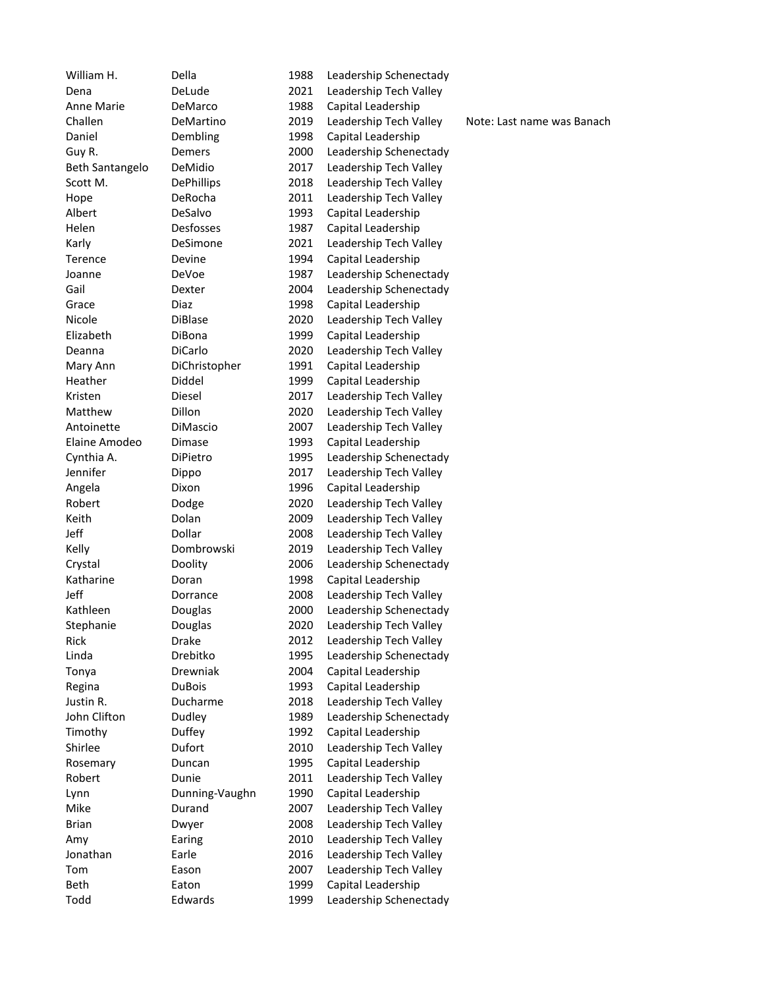William H. Chella 1988 Leadership Schenectady

Dena DeLude 2021 Leadership Tech Valley Anne Marie DeMarco 1988 Capital Leadership Challen DeMartino 2019 Leadership Tech Valley Note: Last name was Banach Daniel Dembling 1998 Capital Leadership Guy R. Demers 2000 Leadership Schenectady Beth Santangelo DeMidio 2017 Leadership Tech Valley Scott M. DePhillips 2018 Leadership Tech Valley Hope DeRocha 2011 Leadership Tech Valley Albert DeSalvo 1993 Capital Leadership Helen Desfosses 1987 Capital Leadership Karly DeSimone 2021 Leadership Tech Valley Terence Devine 1994 Capital Leadership Joanne DeVoe 1987 Leadership Schenectady Gail **Dexter** 2004 Leadership Schenectady Grace Diaz Diaz 1998 Capital Leadership Nicole DiBlase 2020 Leadership Tech Valley Elizabeth DiBona 1999 Capital Leadership Deanna DiCarlo 2020 Leadership Tech Valley Mary Ann DiChristopher 1991 Capital Leadership Heather Diddel 1999 Capital Leadership Kristen Diesel 2017 Leadership Tech Valley Matthew Dillon 2020 Leadership Tech Valley Antoinette DiMascio 2007 Leadership Tech Valley Elaine Amodeo Dimase 1993 Capital Leadership Cynthia A. DiPietro 1995 Leadership Schenectady Jennifer Dippo 2017 Leadership Tech Valley Angela **Dixon** 1996 Capital Leadership Robert Dodge 2020 Leadership Tech Valley Keith **Dolan** Dolan 2009 Leadership Tech Valley Jeff Dollar 2008 Leadership Tech Valley Kelly **Dombrowski** 2019 Leadership Tech Valley Crystal Doolity 2006 Leadership Schenectady Katharine Doran 1998 Capital Leadership Jeff Dorrance 2008 Leadership Tech Valley Kathleen Douglas 2000 Leadership Schenectady Stephanie Douglas 2020 Leadership Tech Valley Rick Drake 2012 Leadership Tech Valley Linda Drebitko 1995 Leadership Schenectady Tonya Drewniak 2004 Capital Leadership Regina **DuBois** 1993 Capital Leadership Justin R. Ducharme 2018 Leadership Tech Valley John Clifton Dudley 1989 Leadership Schenectady Timothy Duffey 1992 Capital Leadership Shirlee **Dufort** 2010 Leadership Tech Valley Rosemary Duncan 1995 Capital Leadership Robert Dunie 2011 Leadership Tech Valley Lynn Dunning-Vaughn 1990 Capital Leadership Mike Durand 2007 Leadership Tech Valley Brian Dwyer 2008 Leadership Tech Valley Amy Earing 2010 Leadership Tech Valley Jonathan Earle 2016 Leadership Tech Valley Tom Eason 2007 Leadership Tech Valley Beth Eaton Eaton 1999 Capital Leadership Todd Edwards 1999 Leadership Schenectady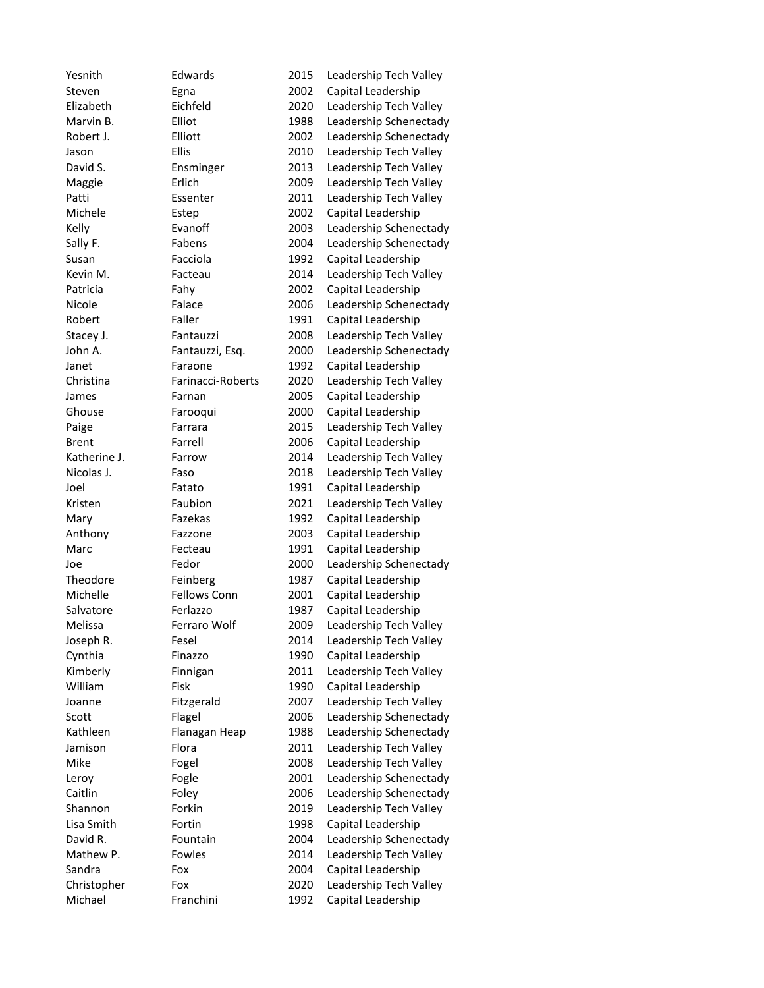| Yesnith      | Edwards             | 2015 | Leadership Tech Valley |
|--------------|---------------------|------|------------------------|
| Steven       | Egna                | 2002 | Capital Leadership     |
| Elizabeth    | Eichfeld            | 2020 | Leadership Tech Valley |
| Marvin B.    | Elliot              | 1988 | Leadership Schenectady |
| Robert J.    | Elliott             | 2002 | Leadership Schenectady |
| Jason        | <b>Ellis</b>        | 2010 | Leadership Tech Valley |
| David S.     | Ensminger           | 2013 | Leadership Tech Valley |
| Maggie       | Erlich              | 2009 | Leadership Tech Valley |
| Patti        | Essenter            | 2011 | Leadership Tech Valley |
| Michele      | Estep               | 2002 | Capital Leadership     |
| Kelly        | Evanoff             | 2003 | Leadership Schenectady |
| Sally F.     | Fabens              | 2004 | Leadership Schenectady |
| Susan        | Facciola            | 1992 | Capital Leadership     |
| Kevin M.     | Facteau             | 2014 | Leadership Tech Valley |
| Patricia     | Fahy                | 2002 | Capital Leadership     |
| Nicole       | Falace              | 2006 | Leadership Schenectady |
| Robert       | Faller              | 1991 | Capital Leadership     |
| Stacey J.    | Fantauzzi           | 2008 | Leadership Tech Valley |
| John A.      | Fantauzzi, Esq.     | 2000 | Leadership Schenectady |
| Janet        | Faraone             | 1992 | Capital Leadership     |
| Christina    | Farinacci-Roberts   | 2020 | Leadership Tech Valley |
| James        | Farnan              | 2005 | Capital Leadership     |
| Ghouse       | Farooqui            | 2000 | Capital Leadership     |
| Paige        | Farrara             | 2015 | Leadership Tech Valley |
| <b>Brent</b> | Farrell             | 2006 | Capital Leadership     |
| Katherine J. | Farrow              | 2014 | Leadership Tech Valley |
| Nicolas J.   | Faso                | 2018 | Leadership Tech Valley |
| Joel         | Fatato              | 1991 | Capital Leadership     |
| Kristen      | Faubion             | 2021 | Leadership Tech Valley |
| Mary         | Fazekas             | 1992 | Capital Leadership     |
| Anthony      | Fazzone             | 2003 | Capital Leadership     |
| Marc         | Fecteau             | 1991 | Capital Leadership     |
| Joe          | Fedor               | 2000 | Leadership Schenectady |
| Theodore     | Feinberg            | 1987 | Capital Leadership     |
| Michelle     | <b>Fellows Conn</b> | 2001 | Capital Leadership     |
| Salvatore    | Ferlazzo            | 1987 | Capital Leadership     |
| Melissa      | Ferraro Wolf        | 2009 | Leadership Tech Valley |
| Joseph R.    | Fesel               | 2014 | Leadership Tech Valley |
| Cynthia      | Finazzo             | 1990 | Capital Leadership     |
| Kimberly     | Finnigan            | 2011 | Leadership Tech Valley |
| William      | Fisk                | 1990 | Capital Leadership     |
| Joanne       | Fitzgerald          | 2007 | Leadership Tech Valley |
| Scott        | Flagel              | 2006 | Leadership Schenectady |
| Kathleen     | Flanagan Heap       | 1988 | Leadership Schenectady |
| Jamison      | Flora               | 2011 | Leadership Tech Valley |
| Mike         | Fogel               | 2008 | Leadership Tech Valley |
| Leroy        | Fogle               | 2001 | Leadership Schenectady |
| Caitlin      | Foley               | 2006 | Leadership Schenectady |
| Shannon      | Forkin              | 2019 | Leadership Tech Valley |
| Lisa Smith   | Fortin              | 1998 | Capital Leadership     |
| David R.     | Fountain            | 2004 | Leadership Schenectady |
| Mathew P.    | Fowles              | 2014 | Leadership Tech Valley |
| Sandra       | Fox                 | 2004 | Capital Leadership     |
| Christopher  | Fox                 | 2020 | Leadership Tech Valley |
| Michael      | Franchini           | 1992 | Capital Leadership     |
|              |                     |      |                        |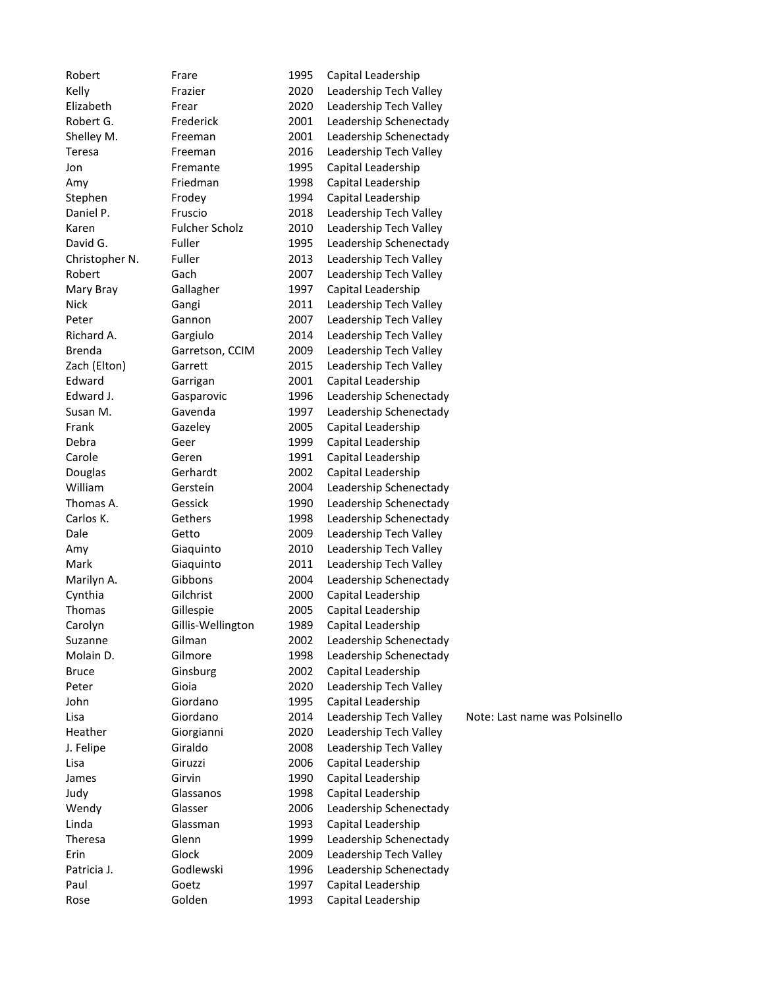| Robert         | Frare                 | 1995 | Capital Leadership     |                                |
|----------------|-----------------------|------|------------------------|--------------------------------|
| Kelly          | Frazier               | 2020 | Leadership Tech Valley |                                |
| Elizabeth      | Frear                 | 2020 | Leadership Tech Valley |                                |
| Robert G.      | Frederick             | 2001 | Leadership Schenectady |                                |
| Shelley M.     | Freeman               | 2001 | Leadership Schenectady |                                |
| Teresa         | Freeman               | 2016 | Leadership Tech Valley |                                |
| Jon            | Fremante              | 1995 | Capital Leadership     |                                |
| Amy            | Friedman              | 1998 | Capital Leadership     |                                |
| Stephen        | Frodey                | 1994 | Capital Leadership     |                                |
| Daniel P.      | Fruscio               | 2018 | Leadership Tech Valley |                                |
| Karen          | <b>Fulcher Scholz</b> | 2010 | Leadership Tech Valley |                                |
| David G.       | Fuller                | 1995 | Leadership Schenectady |                                |
| Christopher N. | Fuller                | 2013 | Leadership Tech Valley |                                |
| Robert         | Gach                  | 2007 | Leadership Tech Valley |                                |
| Mary Bray      | Gallagher             | 1997 | Capital Leadership     |                                |
| <b>Nick</b>    | Gangi                 | 2011 | Leadership Tech Valley |                                |
| Peter          | Gannon                | 2007 | Leadership Tech Valley |                                |
| Richard A.     | Gargiulo              | 2014 | Leadership Tech Valley |                                |
| <b>Brenda</b>  | Garretson, CCIM       | 2009 | Leadership Tech Valley |                                |
| Zach (Elton)   | Garrett               | 2015 | Leadership Tech Valley |                                |
| Edward         | Garrigan              | 2001 | Capital Leadership     |                                |
| Edward J.      | Gasparovic            | 1996 | Leadership Schenectady |                                |
| Susan M.       | Gavenda               | 1997 | Leadership Schenectady |                                |
| Frank          | Gazeley               | 2005 | Capital Leadership     |                                |
| Debra          | Geer                  | 1999 | Capital Leadership     |                                |
| Carole         | Geren                 | 1991 | Capital Leadership     |                                |
| Douglas        | Gerhardt              | 2002 | Capital Leadership     |                                |
| William        | Gerstein              | 2004 | Leadership Schenectady |                                |
| Thomas A.      | Gessick               | 1990 | Leadership Schenectady |                                |
| Carlos K.      | Gethers               | 1998 | Leadership Schenectady |                                |
| Dale           | Getto                 | 2009 | Leadership Tech Valley |                                |
| Amy            | Giaquinto             | 2010 | Leadership Tech Valley |                                |
| Mark           | Giaquinto             | 2011 | Leadership Tech Valley |                                |
| Marilyn A.     | Gibbons               | 2004 | Leadership Schenectady |                                |
| Cynthia        | Gilchrist             | 2000 | Capital Leadership     |                                |
| Thomas         | Gillespie             | 2005 | Capital Leadership     |                                |
| Carolyn        | Gillis-Wellington     | 1989 | Capital Leadership     |                                |
| Suzanne        | Gilman                | 2002 | Leadership Schenectady |                                |
| Molain D.      | Gilmore               | 1998 | Leadership Schenectady |                                |
| <b>Bruce</b>   | Ginsburg              | 2002 | Capital Leadership     |                                |
| Peter          | Gioia                 | 2020 | Leadership Tech Valley |                                |
| John           | Giordano              | 1995 | Capital Leadership     |                                |
| Lisa           | Giordano              | 2014 | Leadership Tech Valley | Note: Last name was Polsinello |
| Heather        | Giorgianni            | 2020 | Leadership Tech Valley |                                |
| J. Felipe      | Giraldo               | 2008 | Leadership Tech Valley |                                |
| Lisa           | Giruzzi               | 2006 | Capital Leadership     |                                |
| James          | Girvin                | 1990 | Capital Leadership     |                                |
| Judy           | Glassanos             | 1998 | Capital Leadership     |                                |
| Wendy          | Glasser               | 2006 | Leadership Schenectady |                                |
| Linda          | Glassman              | 1993 | Capital Leadership     |                                |
| Theresa        | Glenn                 | 1999 | Leadership Schenectady |                                |
| Erin           | Glock                 | 2009 | Leadership Tech Valley |                                |
| Patricia J.    | Godlewski             | 1996 | Leadership Schenectady |                                |
| Paul           | Goetz                 | 1997 | Capital Leadership     |                                |
| Rose           | Golden                | 1993 | Capital Leadership     |                                |
|                |                       |      |                        |                                |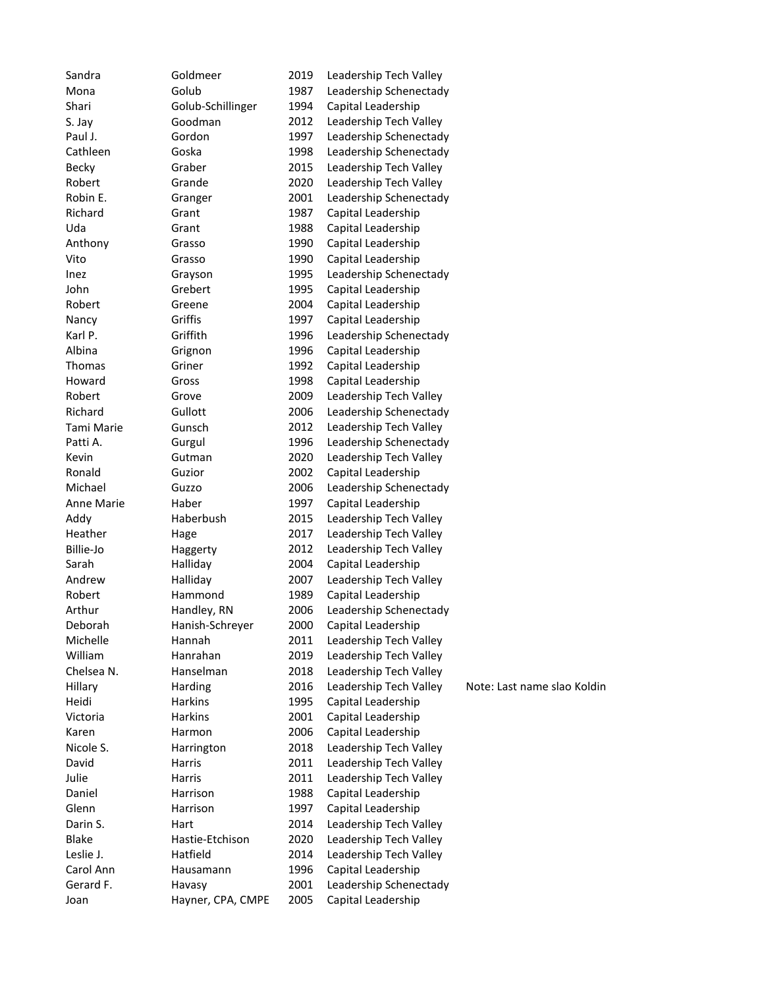| Sandra       | Goldmeer             | 2019 | Leadership Tech Valley |                             |
|--------------|----------------------|------|------------------------|-----------------------------|
| Mona         | Golub                | 1987 | Leadership Schenectady |                             |
| Shari        | Golub-Schillinger    | 1994 | Capital Leadership     |                             |
| S. Jay       | Goodman              | 2012 | Leadership Tech Valley |                             |
| Paul J.      | Gordon               | 1997 | Leadership Schenectady |                             |
| Cathleen     | Goska                | 1998 | Leadership Schenectady |                             |
| <b>Becky</b> | Graber               | 2015 | Leadership Tech Valley |                             |
| Robert       | Grande               | 2020 | Leadership Tech Valley |                             |
| Robin E.     | Granger              | 2001 | Leadership Schenectady |                             |
| Richard      | Grant                | 1987 | Capital Leadership     |                             |
| Uda          | Grant                | 1988 | Capital Leadership     |                             |
| Anthony      | Grasso               | 1990 | Capital Leadership     |                             |
| Vito         | Grasso               | 1990 | Capital Leadership     |                             |
| Inez         | Grayson              | 1995 | Leadership Schenectady |                             |
| John         | Grebert              | 1995 | Capital Leadership     |                             |
| Robert       | Greene               | 2004 | Capital Leadership     |                             |
| Nancy        | Griffis              | 1997 | Capital Leadership     |                             |
| Karl P.      | Griffith             | 1996 | Leadership Schenectady |                             |
| Albina       | Grignon              | 1996 | Capital Leadership     |                             |
| Thomas       | Griner               | 1992 | Capital Leadership     |                             |
| Howard       | Gross                | 1998 | Capital Leadership     |                             |
| Robert       | Grove                | 2009 | Leadership Tech Valley |                             |
| Richard      | Gullott              | 2006 | Leadership Schenectady |                             |
| Tami Marie   | Gunsch               | 2012 | Leadership Tech Valley |                             |
| Patti A.     | Gurgul               | 1996 | Leadership Schenectady |                             |
| Kevin        | Gutman               | 2020 | Leadership Tech Valley |                             |
| Ronald       | Guzior               | 2002 | Capital Leadership     |                             |
| Michael      | Guzzo                | 2006 | Leadership Schenectady |                             |
| Anne Marie   | Haber                | 1997 | Capital Leadership     |                             |
| Addy         | Haberbush            | 2015 | Leadership Tech Valley |                             |
| Heather      | Hage                 | 2017 | Leadership Tech Valley |                             |
| Billie-Jo    |                      | 2012 | Leadership Tech Valley |                             |
| Sarah        | Haggerty<br>Halliday | 2004 | Capital Leadership     |                             |
| Andrew       | Halliday             | 2007 | Leadership Tech Valley |                             |
| Robert       | Hammond              | 1989 | Capital Leadership     |                             |
| Arthur       | Handley, RN          | 2006 | Leadership Schenectady |                             |
| Deborah      | Hanish-Schreyer      | 2000 | Capital Leadership     |                             |
| Michelle     | Hannah               | 2011 | Leadership Tech Valley |                             |
| William      | Hanrahan             | 2019 | Leadership Tech Valley |                             |
| Chelsea N.   | Hanselman            | 2018 | Leadership Tech Valley |                             |
| Hillary      | Harding              | 2016 | Leadership Tech Valley | Note: Last name slao Koldin |
| Heidi        | <b>Harkins</b>       |      | Capital Leadership     |                             |
| Victoria     | <b>Harkins</b>       | 1995 |                        |                             |
|              |                      | 2001 | Capital Leadership     |                             |
| Karen        | Harmon               | 2006 | Capital Leadership     |                             |
| Nicole S.    | Harrington           | 2018 | Leadership Tech Valley |                             |
| David        | Harris               | 2011 | Leadership Tech Valley |                             |
| Julie        | Harris               | 2011 | Leadership Tech Valley |                             |
| Daniel       | Harrison             | 1988 | Capital Leadership     |                             |
| Glenn        | Harrison             | 1997 | Capital Leadership     |                             |
| Darin S.     | Hart                 | 2014 | Leadership Tech Valley |                             |
| <b>Blake</b> | Hastie-Etchison      | 2020 | Leadership Tech Valley |                             |
| Leslie J.    | Hatfield             | 2014 | Leadership Tech Valley |                             |
| Carol Ann    | Hausamann            | 1996 | Capital Leadership     |                             |
| Gerard F.    | Havasy               | 2001 | Leadership Schenectady |                             |
| Joan         | Hayner, CPA, CMPE    | 2005 | Capital Leadership     |                             |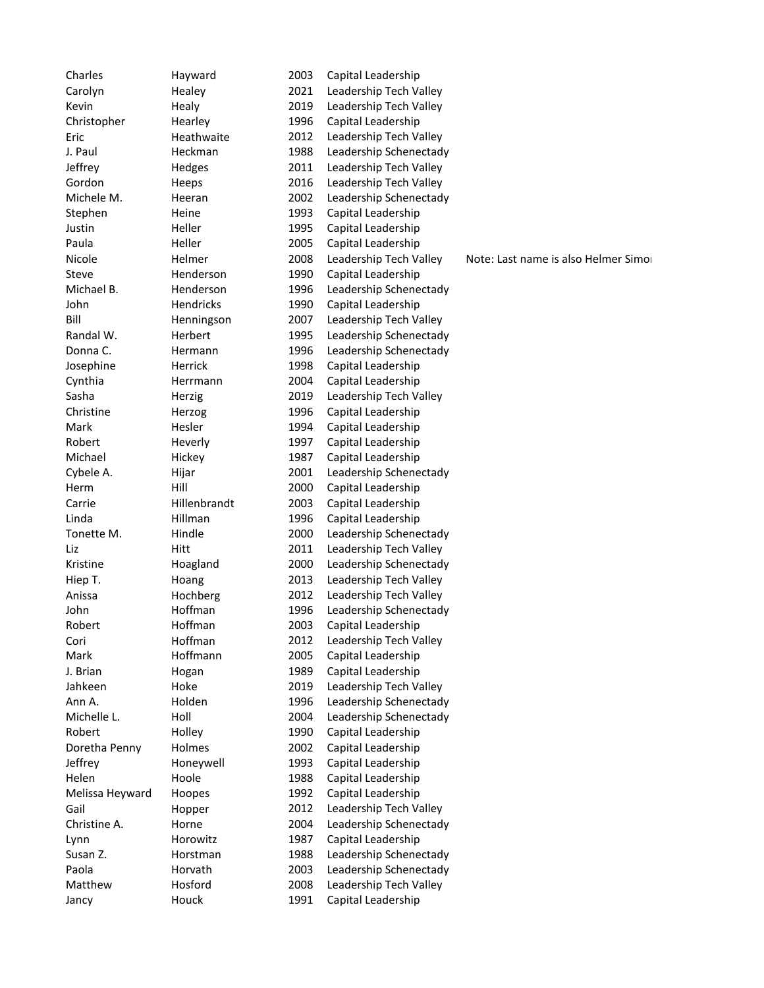Charles Hayward 2003 Capital Leadership Carolyn Healey 2021 Leadership Tech Valley Kevin **Healy** Healy 2019 Leadership Tech Valley Christopher Hearley 1996 Capital Leadership Eric Heathwaite 2012 Leadership Tech Valley J. Paul **Heckman** 1988 Leadership Schenectady Jeffrey Hedges 2011 Leadership Tech Valley Gordon Heeps 2016 Leadership Tech Valley Michele M. **Heeran** 2002 Leadership Schenectady Stephen Heine 1993 Capital Leadership Justin Heller 1995 Capital Leadership Paula Heller 2005 Capital Leadership Nicole **Helmer** 2008 Leadership Tech Valley Note: Last name is also Helmer Simon Steve Henderson 1990 Capital Leadership Michael B. Thenderson 1996 Leadership Schenectady John Hendricks 1990 Capital Leadership Bill Henningson 2007 Leadership Tech Valley Randal W. **Herbert** 1995 Leadership Schenectady Donna C. **Hermann** 1996 Leadership Schenectady Josephine Herrick 1998 Capital Leadership Cynthia Herrmann 2004 Capital Leadership Sasha Herzig 2019 Leadership Tech Valley Christine Herzog 1996 Capital Leadership Mark Hesler 1994 Capital Leadership Robert Heverly 1997 Capital Leadership Michael Hickey 1987 Capital Leadership Cybele A. Hijar 2001 Leadership Schenectady Herm Hill 2000 Capital Leadership Carrie Hillenbrandt 2003 Capital Leadership Linda Hillman 1996 Capital Leadership Tonette M. Hindle 2000 Leadership Schenectady Liz Hitt 2011 Leadership Tech Valley Kristine Hoagland 2000 Leadership Schenectady Hiep T. **Hoang** 2013 Leadership Tech Valley Anissa Hochberg 2012 Leadership Tech Valley John Hoffman 1996 Leadership Schenectady Robert Hoffman 2003 Capital Leadership Cori Hoffman 2012 Leadership Tech Valley Mark Hoffmann 2005 Capital Leadership J. Brian Hogan 1989 Capital Leadership Jahkeen Hoke 2019 Leadership Tech Valley Ann A. Holden 1996 Leadership Schenectady Michelle L. **Holl** 2004 Leadership Schenectady Robert Holley 1990 Capital Leadership Doretha Penny Holmes 2002 Capital Leadership Jeffrey Honeywell 1993 Capital Leadership Helen Hoole 1988 Capital Leadership Melissa Heyward Hoopes 1992 Capital Leadership Gail **Hopper** 2012 Leadership Tech Valley Christine A. Horne 2004 Leadership Schenectady Lynn Horowitz 1987 Capital Leadership Susan Z. The Horstman The Horstman 1988 Leadership Schenectady Paola **Horvath** 2003 Leadership Schenectady Matthew Hosford 2008 Leadership Tech Valley Jancy Houck 1991 Capital Leadership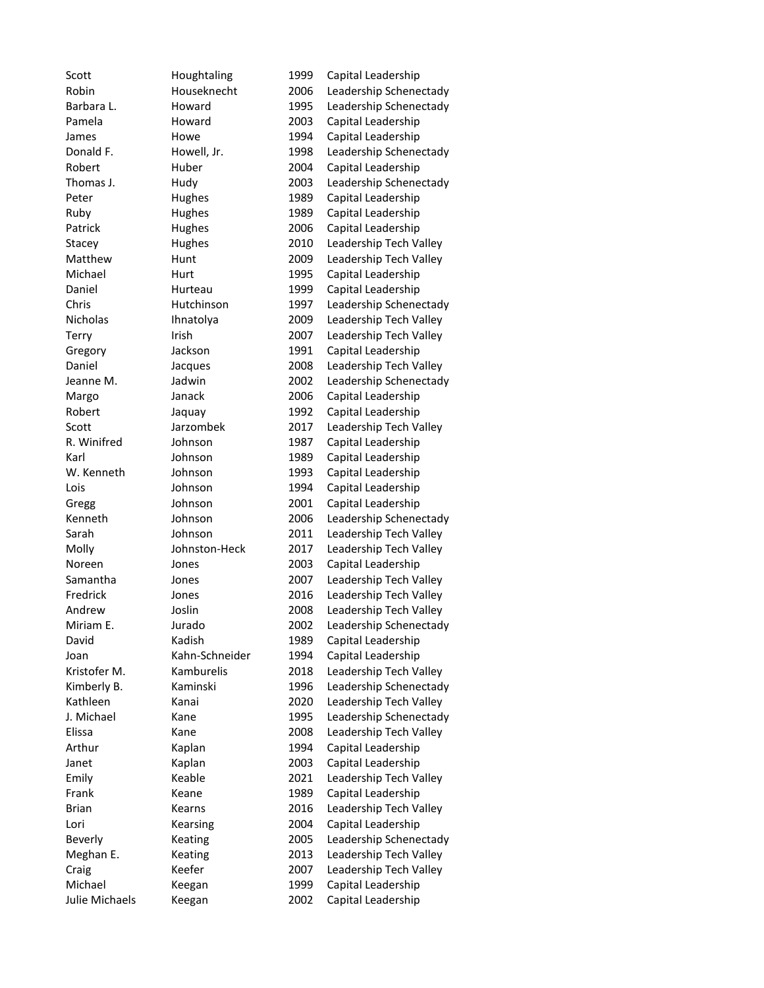Scott Houghtaling 1999 Capital Leadership Robin Houseknecht 2006 Leadership Schenectady Barbara L. **Howard** 1995 Leadership Schenectady Pamela **Howard** 2003 Capital Leadership James Howe 1994 Capital Leadership Donald F. **Howell, Jr.** 1998 Leadership Schenectady Robert Huber 2004 Capital Leadership Thomas J. Hudy 2003 Leadership Schenectady Peter Hughes 1989 Capital Leadership Ruby Hughes 1989 Capital Leadership Patrick Hughes 2006 Capital Leadership Stacey Hughes 2010 Leadership Tech Valley Matthew Hunt 2009 Leadership Tech Valley Michael Hurt 1995 Capital Leadership Daniel Hurteau 1999 Capital Leadership Chris Hutchinson 1997 Leadership Schenectady Nicholas Ihnatolya 2009 Leadership Tech Valley Terry Irish 1997 Leadership Tech Valley Gregory Jackson 1991 Capital Leadership Daniel Jacques 2008 Leadership Tech Valley Jeanne M. Jadwin 2002 Leadership Schenectady Margo Janack 2006 Capital Leadership Robert Jaquay 1992 Capital Leadership Scott Jarzombek 2017 Leadership Tech Valley R. Winifred Johnson 1987 Capital Leadership Karl Johnson 1989 Capital Leadership W. Kenneth Johnson 1993 Capital Leadership Lois **1994** Capital Leadership Gregg Johnson 2001 Capital Leadership Kenneth Johnson 2006 Leadership Schenectady Sarah Johnson 2011 Leadership Tech Valley Molly Johnston-Heck 2017 Leadership Tech Valley Noreen Jones 2003 Capital Leadership Samantha Jones 2007 Leadership Tech Valley Fredrick Jones 2016 Leadership Tech Valley Andrew Joslin 2008 Leadership Tech Valley Miriam E. Jurado 2002 Leadership Schenectady David Kadish 1989 Capital Leadership Joan Kahn-Schneider 1994 Capital Leadership Kristofer M. Kamburelis 2018 Leadership Tech Valley Kimberly B. Kaminski 1996 Leadership Schenectady Kathleen Kanai 2020 Leadership Tech Valley J. Michael Kane 1995 Leadership Schenectady Elissa Kane 2008 Leadership Tech Valley Arthur Kaplan 1994 Capital Leadership Janet Kaplan 2003 Capital Leadership Emily Keable 2021 Leadership Tech Valley Frank Keane 1989 Capital Leadership Brian Kearns 2016 Leadership Tech Valley Lori Kearsing 2004 Capital Leadership Beverly Keating 2005 Leadership Schenectady Meghan E. Keating 2013 Leadership Tech Valley Craig Craig Keefer 2007 Leadership Tech Valley Michael Keegan 1999 Capital Leadership Julie Michaels Keegan 2002 Capital Leadership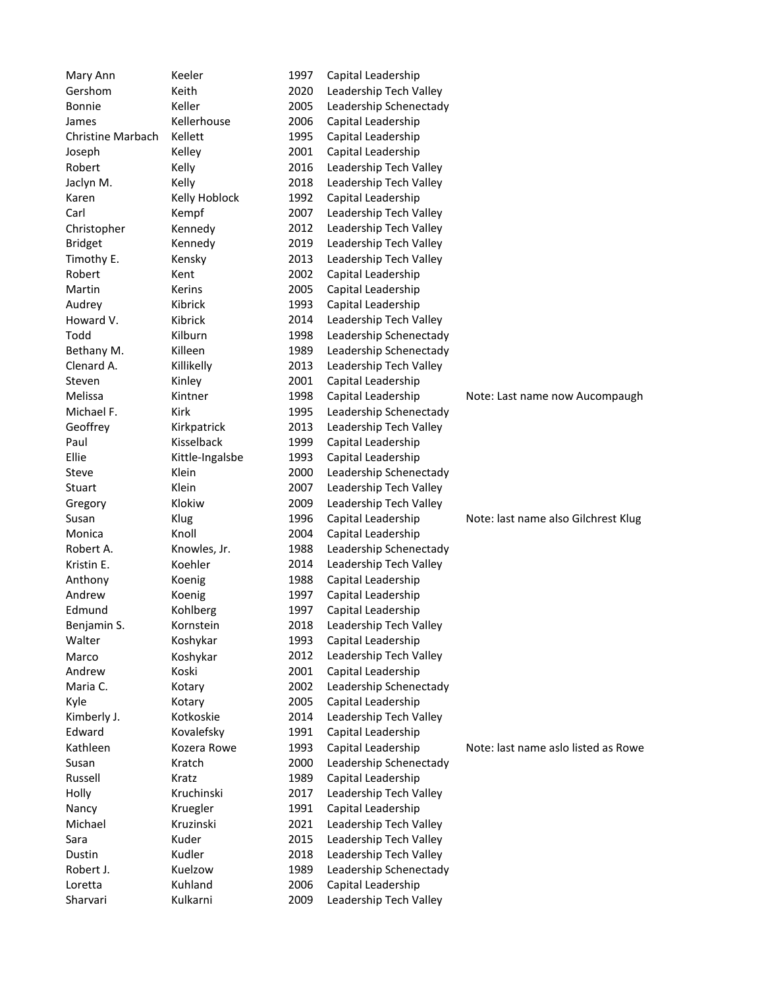| Mary Ann                 | Keeler          | 1997 | Capital Leadership     |                                     |
|--------------------------|-----------------|------|------------------------|-------------------------------------|
| Gershom                  | Keith           | 2020 | Leadership Tech Valley |                                     |
| <b>Bonnie</b>            | Keller          | 2005 | Leadership Schenectady |                                     |
| James                    | Kellerhouse     | 2006 | Capital Leadership     |                                     |
| <b>Christine Marbach</b> | Kellett         | 1995 | Capital Leadership     |                                     |
| Joseph                   | Kelley          | 2001 | Capital Leadership     |                                     |
| Robert                   | Kelly           | 2016 | Leadership Tech Valley |                                     |
| Jaclyn M.                | Kelly           | 2018 | Leadership Tech Valley |                                     |
| Karen                    | Kelly Hoblock   | 1992 | Capital Leadership     |                                     |
| Carl                     | Kempf           | 2007 | Leadership Tech Valley |                                     |
| Christopher              | Kennedy         | 2012 | Leadership Tech Valley |                                     |
| <b>Bridget</b>           | Kennedy         | 2019 | Leadership Tech Valley |                                     |
| Timothy E.               | Kensky          | 2013 | Leadership Tech Valley |                                     |
| Robert                   | Kent            | 2002 | Capital Leadership     |                                     |
| Martin                   | Kerins          | 2005 | Capital Leadership     |                                     |
| Audrey                   | Kibrick         | 1993 | Capital Leadership     |                                     |
| Howard V.                | Kibrick         | 2014 | Leadership Tech Valley |                                     |
| Todd                     | Kilburn         | 1998 | Leadership Schenectady |                                     |
| Bethany M.               | Killeen         | 1989 | Leadership Schenectady |                                     |
| Clenard A.               | Killikelly      | 2013 | Leadership Tech Valley |                                     |
| Steven                   | Kinley          | 2001 | Capital Leadership     |                                     |
| Melissa                  | Kintner         | 1998 | Capital Leadership     | Note: Last name now Aucompaugh      |
| Michael F.               | Kirk            | 1995 | Leadership Schenectady |                                     |
| Geoffrey                 | Kirkpatrick     | 2013 | Leadership Tech Valley |                                     |
| Paul                     | Kisselback      | 1999 | Capital Leadership     |                                     |
| Ellie                    | Kittle-Ingalsbe | 1993 | Capital Leadership     |                                     |
| Steve                    | Klein           | 2000 | Leadership Schenectady |                                     |
| Stuart                   | Klein           | 2007 | Leadership Tech Valley |                                     |
| Gregory                  | Klokiw          | 2009 | Leadership Tech Valley |                                     |
| Susan                    | Klug            | 1996 | Capital Leadership     | Note: last name also Gilchrest Klug |
| Monica                   | Knoll           | 2004 | Capital Leadership     |                                     |
| Robert A.                | Knowles, Jr.    | 1988 | Leadership Schenectady |                                     |
| Kristin E.               | Koehler         | 2014 | Leadership Tech Valley |                                     |
| Anthony                  | Koenig          | 1988 | Capital Leadership     |                                     |
| Andrew                   | Koenig          | 1997 | Capital Leadership     |                                     |
| Edmund                   | Kohlberg        | 1997 | Capital Leadership     |                                     |
| Benjamin S.              | Kornstein       | 2018 | Leadership Tech Valley |                                     |
| Walter                   | Koshykar        | 1993 | Capital Leadership     |                                     |
| Marco                    | Koshykar        | 2012 | Leadership Tech Valley |                                     |
| Andrew                   | Koski           | 2001 | Capital Leadership     |                                     |
| Maria C.                 | Kotary          | 2002 | Leadership Schenectady |                                     |
| Kyle                     | Kotary          | 2005 | Capital Leadership     |                                     |
| Kimberly J.              | Kotkoskie       | 2014 | Leadership Tech Valley |                                     |
| Edward                   | Kovalefsky      | 1991 | Capital Leadership     |                                     |
| Kathleen                 | Kozera Rowe     | 1993 | Capital Leadership     | Note: last name aslo listed as Rowe |
| Susan                    | Kratch          | 2000 | Leadership Schenectady |                                     |
| Russell                  | Kratz           | 1989 | Capital Leadership     |                                     |
| Holly                    | Kruchinski      | 2017 | Leadership Tech Valley |                                     |
| Nancy                    | Kruegler        | 1991 | Capital Leadership     |                                     |
| Michael                  | Kruzinski       | 2021 | Leadership Tech Valley |                                     |
| Sara                     | Kuder           | 2015 | Leadership Tech Valley |                                     |
| Dustin                   | Kudler          | 2018 | Leadership Tech Valley |                                     |
| Robert J.                | Kuelzow         | 1989 | Leadership Schenectady |                                     |
| Loretta                  | Kuhland         | 2006 | Capital Leadership     |                                     |
| Sharvari                 | Kulkarni        | 2009 | Leadership Tech Valley |                                     |
|                          |                 |      |                        |                                     |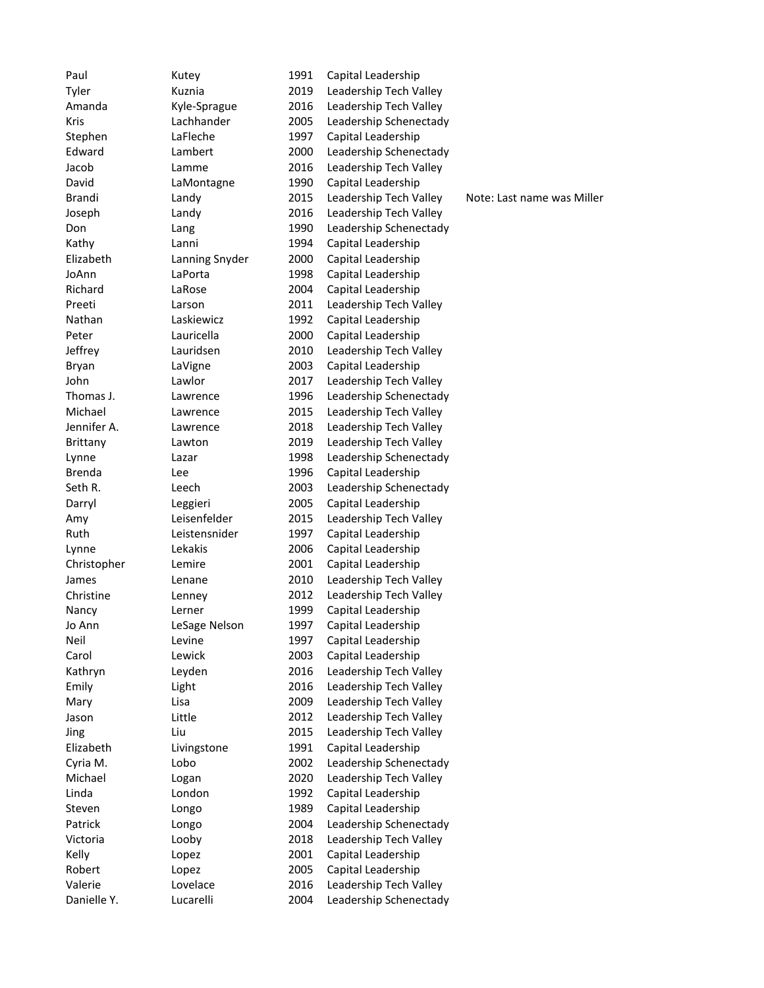| Paul                | Kutey             | 1991         | Capital Leadership                           |                            |
|---------------------|-------------------|--------------|----------------------------------------------|----------------------------|
| Tyler               | Kuznia            | 2019         | Leadership Tech Valley                       |                            |
| Amanda              | Kyle-Sprague      | 2016         | Leadership Tech Valley                       |                            |
| <b>Kris</b>         | Lachhander        | 2005         | Leadership Schenectady                       |                            |
| Stephen             | LaFleche          | 1997         | Capital Leadership                           |                            |
| Edward              | Lambert           | 2000         | Leadership Schenectady                       |                            |
| Jacob               | Lamme             | 2016         | Leadership Tech Valley                       |                            |
| David               | LaMontagne        | 1990         | Capital Leadership                           |                            |
| Brandi              | Landy             | 2015         | Leadership Tech Valley                       | Note: Last name was Miller |
| Joseph              | Landy             | 2016         | Leadership Tech Valley                       |                            |
| Don                 | Lang              | 1990         | Leadership Schenectady                       |                            |
| Kathy               | Lanni             | 1994         | Capital Leadership                           |                            |
| Elizabeth           | Lanning Snyder    | 2000         | Capital Leadership                           |                            |
| JoAnn               | LaPorta           | 1998         | Capital Leadership                           |                            |
| Richard             | LaRose            | 2004         | Capital Leadership                           |                            |
| Preeti              | Larson            | 2011         | Leadership Tech Valley                       |                            |
| Nathan              | Laskiewicz        | 1992         | Capital Leadership                           |                            |
| Peter               | Lauricella        | 2000         | Capital Leadership                           |                            |
| Jeffrey             | Lauridsen         | 2010         | Leadership Tech Valley                       |                            |
| Bryan               | LaVigne           | 2003         | Capital Leadership                           |                            |
| John                | Lawlor            | 2017         | Leadership Tech Valley                       |                            |
| Thomas J.           | Lawrence          | 1996         | Leadership Schenectady                       |                            |
| Michael             | Lawrence          | 2015         | Leadership Tech Valley                       |                            |
| Jennifer A.         | Lawrence          | 2018         | Leadership Tech Valley                       |                            |
| Brittany            | Lawton            | 2019         | Leadership Tech Valley                       |                            |
| Lynne               | Lazar             | 1998         | Leadership Schenectady                       |                            |
| <b>Brenda</b>       | Lee               | 1996         | Capital Leadership                           |                            |
| Seth R.             | Leech             | 2003         | Leadership Schenectady                       |                            |
| Darryl              | Leggieri          | 2005         | Capital Leadership                           |                            |
| Amy                 | Leisenfelder      | 2015         | Leadership Tech Valley                       |                            |
| Ruth                | Leistensnider     | 1997         | Capital Leadership                           |                            |
| Lynne               | Lekakis           | 2006         | Capital Leadership                           |                            |
| Christopher         | Lemire            | 2001         | Capital Leadership                           |                            |
| James               | Lenane            | 2010         | Leadership Tech Valley                       |                            |
| Christine           | Lenney            | 2012         | Leadership Tech Valley                       |                            |
| Nancy               | Lerner            | 1999         | Capital Leadership                           |                            |
| Jo Ann              | LeSage Nelson     | 1997         | Capital Leadership                           |                            |
| Neil                | Levine            | 1997         | Capital Leadership                           |                            |
| Carol               | Lewick            | 2003         | Capital Leadership                           |                            |
| Kathryn             | Leyden            | 2016         | Leadership Tech Valley                       |                            |
| Emily               | Light             | 2016         | Leadership Tech Valley                       |                            |
| Mary                | Lisa              | 2009         | Leadership Tech Valley                       |                            |
| Jason               | Little            | 2012         | Leadership Tech Valley                       |                            |
| Jing                | Liu               | 2015         | Leadership Tech Valley                       |                            |
| Elizabeth           | Livingstone       | 1991         | Capital Leadership                           |                            |
| Cyria M.            | Lobo              | 2002         | Leadership Schenectady                       |                            |
| Michael             |                   | 2020         | Leadership Tech Valley                       |                            |
| Linda               | Logan<br>London   | 1992         | Capital Leadership                           |                            |
| Steven              |                   | 1989         | Capital Leadership                           |                            |
|                     | Longo             |              |                                              |                            |
| Patrick<br>Victoria | Longo             | 2004         | Leadership Schenectady                       |                            |
| Kelly               | Looby             | 2018<br>2001 | Leadership Tech Valley<br>Capital Leadership |                            |
|                     | Lopez             |              |                                              |                            |
| Robert              | Lopez<br>Lovelace | 2005         | Capital Leadership                           |                            |
| Valerie             |                   | 2016         | Leadership Tech Valley                       |                            |
| Danielle Y.         | Lucarelli         | 2004         | Leadership Schenectady                       |                            |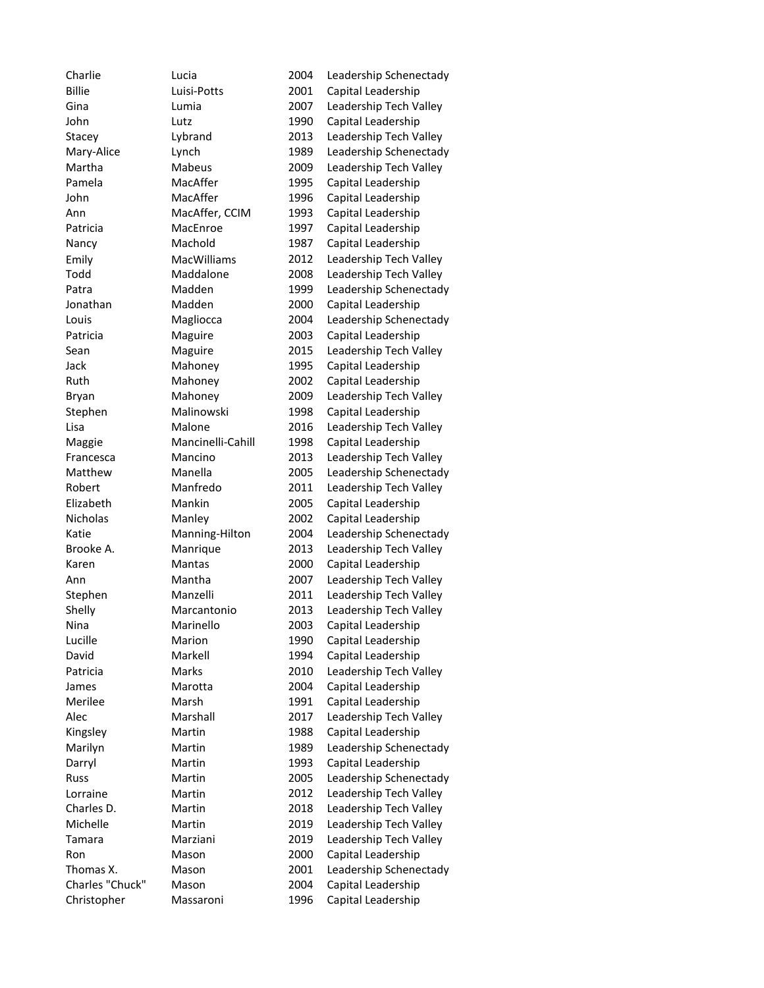| Charlie         | Lucia              | 2004 | Leadership Schenectady |
|-----------------|--------------------|------|------------------------|
| <b>Billie</b>   | Luisi-Potts        | 2001 | Capital Leadership     |
| Gina            | Lumia              | 2007 | Leadership Tech Valley |
| John            | Lutz               | 1990 | Capital Leadership     |
| Stacey          | Lybrand            | 2013 | Leadership Tech Valley |
| Mary-Alice      | Lynch              | 1989 | Leadership Schenectady |
| Martha          | Mabeus             | 2009 | Leadership Tech Valley |
| Pamela          | MacAffer           | 1995 | Capital Leadership     |
| John            | MacAffer           | 1996 | Capital Leadership     |
| Ann             | MacAffer, CCIM     | 1993 | Capital Leadership     |
| Patricia        | MacEnroe           | 1997 | Capital Leadership     |
| Nancy           | Machold            | 1987 | Capital Leadership     |
| Emily           | <b>MacWilliams</b> | 2012 | Leadership Tech Valley |
| Todd            | Maddalone          | 2008 | Leadership Tech Valley |
| Patra           | Madden             | 1999 | Leadership Schenectady |
| Jonathan        | Madden             | 2000 | Capital Leadership     |
| Louis           | Magliocca          | 2004 | Leadership Schenectady |
| Patricia        | Maguire            | 2003 | Capital Leadership     |
| Sean            | Maguire            | 2015 | Leadership Tech Valley |
| Jack            | Mahoney            | 1995 | Capital Leadership     |
| Ruth            | Mahoney            | 2002 | Capital Leadership     |
| Bryan           | Mahoney            | 2009 | Leadership Tech Valley |
| Stephen         | Malinowski         | 1998 | Capital Leadership     |
| Lisa            | Malone             | 2016 | Leadership Tech Valley |
| Maggie          | Mancinelli-Cahill  | 1998 | Capital Leadership     |
| Francesca       | Mancino            | 2013 | Leadership Tech Valley |
| Matthew         | Manella            | 2005 | Leadership Schenectady |
| Robert          | Manfredo           | 2011 | Leadership Tech Valley |
| Elizabeth       | Mankin             | 2005 | Capital Leadership     |
| Nicholas        | Manley             | 2002 | Capital Leadership     |
| Katie           | Manning-Hilton     | 2004 | Leadership Schenectady |
| Brooke A.       | Manrique           | 2013 | Leadership Tech Valley |
| Karen           | Mantas             | 2000 | Capital Leadership     |
| Ann             | Mantha             | 2007 | Leadership Tech Valley |
| Stephen         | Manzelli           | 2011 | Leadership Tech Valley |
| Shelly          | Marcantonio        | 2013 | Leadership Tech Valley |
| Nina            | Marinello          | 2003 | Capital Leadership     |
| Lucille         | Marion             | 1990 | Capital Leadership     |
| David           | Markell            | 1994 | Capital Leadership     |
| Patricia        | Marks              | 2010 | Leadership Tech Valley |
| James           | Marotta            | 2004 | Capital Leadership     |
| Merilee         | Marsh              | 1991 | Capital Leadership     |
| Alec            | Marshall           | 2017 | Leadership Tech Valley |
| Kingsley        | Martin             | 1988 | Capital Leadership     |
| Marilyn         | Martin             | 1989 | Leadership Schenectady |
| Darryl          | Martin             | 1993 | Capital Leadership     |
| Russ            | Martin             | 2005 | Leadership Schenectady |
| Lorraine        | Martin             | 2012 | Leadership Tech Valley |
| Charles D.      | Martin             | 2018 | Leadership Tech Valley |
| Michelle        | Martin             | 2019 | Leadership Tech Valley |
| Tamara          | Marziani           | 2019 | Leadership Tech Valley |
| Ron             | Mason              | 2000 | Capital Leadership     |
| Thomas X.       | Mason              | 2001 | Leadership Schenectady |
| Charles "Chuck" | Mason              | 2004 | Capital Leadership     |
| Christopher     | Massaroni          | 1996 | Capital Leadership     |
|                 |                    |      |                        |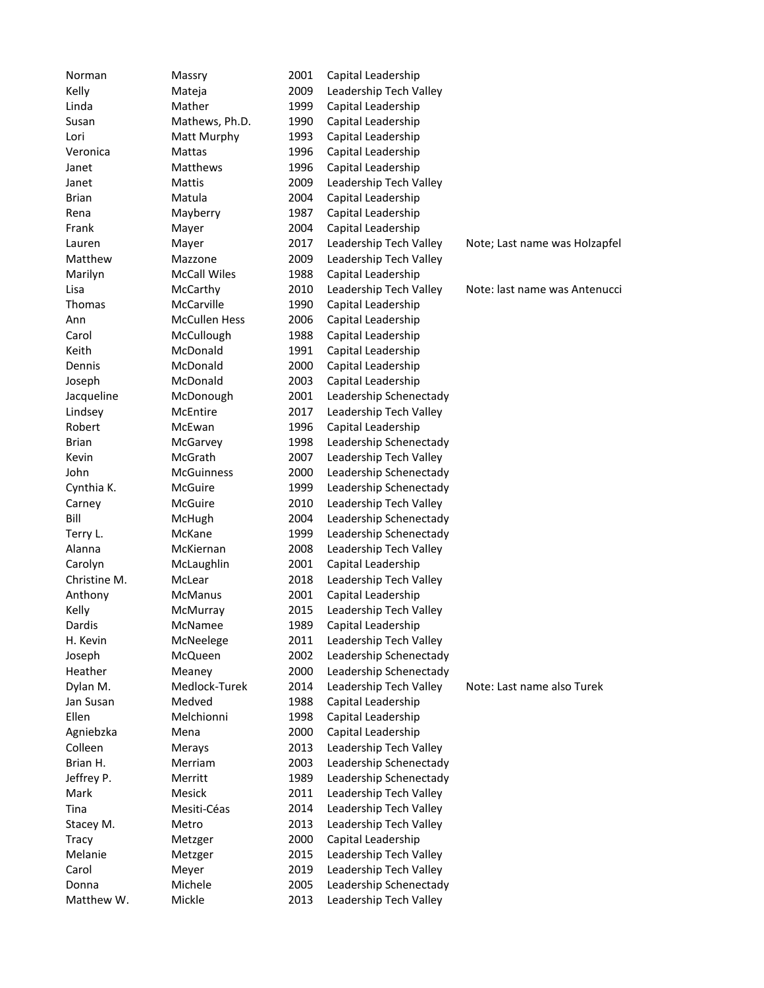| Norman       | Massry               | 2001 | Capital Leadership     |                               |
|--------------|----------------------|------|------------------------|-------------------------------|
| Kelly        | Mateja               | 2009 | Leadership Tech Valley |                               |
| Linda        | Mather               | 1999 | Capital Leadership     |                               |
| Susan        | Mathews, Ph.D.       | 1990 | Capital Leadership     |                               |
| Lori         | Matt Murphy          | 1993 | Capital Leadership     |                               |
| Veronica     | Mattas               | 1996 | Capital Leadership     |                               |
| Janet        | Matthews             | 1996 | Capital Leadership     |                               |
| Janet        | Mattis               | 2009 | Leadership Tech Valley |                               |
| <b>Brian</b> | Matula               | 2004 | Capital Leadership     |                               |
| Rena         | Mayberry             | 1987 | Capital Leadership     |                               |
| Frank        | Mayer                | 2004 | Capital Leadership     |                               |
| Lauren       | Mayer                | 2017 | Leadership Tech Valley | Note; Last name was Holzapfel |
| Matthew      | Mazzone              | 2009 | Leadership Tech Valley |                               |
| Marilyn      | <b>McCall Wiles</b>  | 1988 | Capital Leadership     |                               |
| Lisa         | McCarthy             | 2010 | Leadership Tech Valley | Note: last name was Antenucci |
| Thomas       | McCarville           | 1990 | Capital Leadership     |                               |
| Ann          | <b>McCullen Hess</b> | 2006 | Capital Leadership     |                               |
| Carol        | McCullough           | 1988 | Capital Leadership     |                               |
| Keith        | McDonald             | 1991 | Capital Leadership     |                               |
| Dennis       | McDonald             | 2000 | Capital Leadership     |                               |
| Joseph       | McDonald             | 2003 | Capital Leadership     |                               |
| Jacqueline   | McDonough            | 2001 | Leadership Schenectady |                               |
| Lindsey      | McEntire             | 2017 | Leadership Tech Valley |                               |
| Robert       | McEwan               | 1996 | Capital Leadership     |                               |
| <b>Brian</b> | McGarvey             | 1998 | Leadership Schenectady |                               |
| Kevin        | McGrath              | 2007 | Leadership Tech Valley |                               |
| John         | <b>McGuinness</b>    | 2000 | Leadership Schenectady |                               |
| Cynthia K.   | McGuire              | 1999 | Leadership Schenectady |                               |
| Carney       | McGuire              | 2010 | Leadership Tech Valley |                               |
| Bill         | McHugh               | 2004 | Leadership Schenectady |                               |
| Terry L.     | McKane               | 1999 | Leadership Schenectady |                               |
| Alanna       | McKiernan            | 2008 | Leadership Tech Valley |                               |
| Carolyn      | McLaughlin           | 2001 | Capital Leadership     |                               |
| Christine M. | McLear               | 2018 | Leadership Tech Valley |                               |
| Anthony      | McManus              | 2001 | Capital Leadership     |                               |
| Kelly        | McMurray             | 2015 | Leadership Tech Valley |                               |
| Dardis       | McNamee              | 1989 | Capital Leadership     |                               |
| H. Kevin     | McNeelege            | 2011 | Leadership Tech Valley |                               |
| Joseph       | McQueen              | 2002 | Leadership Schenectady |                               |
| Heather      | Meaney               | 2000 | Leadership Schenectady |                               |
| Dylan M.     | Medlock-Turek        | 2014 | Leadership Tech Valley | Note: Last name also Turek    |
| Jan Susan    | Medved               | 1988 | Capital Leadership     |                               |
| Ellen        | Melchionni           | 1998 | Capital Leadership     |                               |
| Agniebzka    | Mena                 | 2000 | Capital Leadership     |                               |
| Colleen      | Merays               | 2013 | Leadership Tech Valley |                               |
| Brian H.     | Merriam              | 2003 | Leadership Schenectady |                               |
| Jeffrey P.   | Merritt              | 1989 | Leadership Schenectady |                               |
| Mark         | Mesick               | 2011 | Leadership Tech Valley |                               |
| Tina         | Mesiti-Céas          | 2014 | Leadership Tech Valley |                               |
| Stacey M.    | Metro                | 2013 | Leadership Tech Valley |                               |
| Tracy        | Metzger              | 2000 | Capital Leadership     |                               |
| Melanie      | Metzger              | 2015 | Leadership Tech Valley |                               |
| Carol        | Meyer                | 2019 | Leadership Tech Valley |                               |
| Donna        | Michele              | 2005 | Leadership Schenectady |                               |
| Matthew W.   | Mickle               | 2013 | Leadership Tech Valley |                               |
|              |                      |      |                        |                               |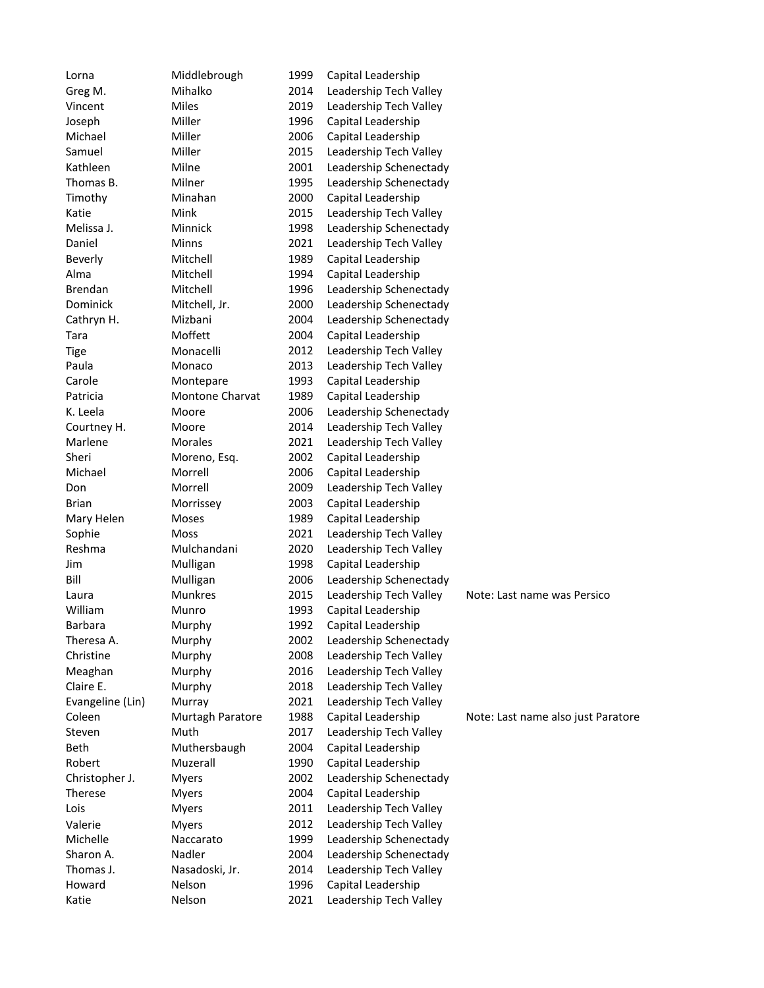| Lorna            | Middlebrough           | 1999 | Capital Leadership     |                                    |
|------------------|------------------------|------|------------------------|------------------------------------|
| Greg M.          | Mihalko                | 2014 | Leadership Tech Valley |                                    |
| Vincent          | Miles                  | 2019 | Leadership Tech Valley |                                    |
| Joseph           | Miller                 | 1996 | Capital Leadership     |                                    |
| Michael          | Miller                 | 2006 | Capital Leadership     |                                    |
| Samuel           | Miller                 | 2015 | Leadership Tech Valley |                                    |
| Kathleen         | Milne                  | 2001 | Leadership Schenectady |                                    |
| Thomas B.        | Milner                 | 1995 | Leadership Schenectady |                                    |
| Timothy          | Minahan                | 2000 | Capital Leadership     |                                    |
| Katie            | Mink                   | 2015 | Leadership Tech Valley |                                    |
| Melissa J.       | Minnick                | 1998 | Leadership Schenectady |                                    |
| Daniel           | Minns                  | 2021 | Leadership Tech Valley |                                    |
| Beverly          | Mitchell               | 1989 | Capital Leadership     |                                    |
| Alma             | Mitchell               | 1994 | Capital Leadership     |                                    |
| Brendan          | Mitchell               | 1996 | Leadership Schenectady |                                    |
| Dominick         | Mitchell, Jr.          | 2000 | Leadership Schenectady |                                    |
| Cathryn H.       | Mizbani                | 2004 | Leadership Schenectady |                                    |
| Tara             | Moffett                | 2004 | Capital Leadership     |                                    |
| <b>Tige</b>      | Monacelli              | 2012 | Leadership Tech Valley |                                    |
| Paula            | Monaco                 | 2013 | Leadership Tech Valley |                                    |
| Carole           | Montepare              | 1993 | Capital Leadership     |                                    |
| Patricia         | <b>Montone Charvat</b> | 1989 | Capital Leadership     |                                    |
| K. Leela         | Moore                  | 2006 | Leadership Schenectady |                                    |
| Courtney H.      | Moore                  | 2014 | Leadership Tech Valley |                                    |
| Marlene          | Morales                | 2021 | Leadership Tech Valley |                                    |
| Sheri            | Moreno, Esq.           | 2002 | Capital Leadership     |                                    |
| Michael          | Morrell                | 2006 | Capital Leadership     |                                    |
| Don              | Morrell                | 2009 | Leadership Tech Valley |                                    |
| <b>Brian</b>     | Morrissey              | 2003 | Capital Leadership     |                                    |
| Mary Helen       | Moses                  | 1989 | Capital Leadership     |                                    |
| Sophie           | Moss                   | 2021 | Leadership Tech Valley |                                    |
| Reshma           | Mulchandani            | 2020 | Leadership Tech Valley |                                    |
| Jim              | Mulligan               | 1998 | Capital Leadership     |                                    |
| Bill             | Mulligan               | 2006 | Leadership Schenectady |                                    |
| Laura            | <b>Munkres</b>         | 2015 | Leadership Tech Valley | Note: Last name was Persico        |
| William          | Munro                  | 1993 | Capital Leadership     |                                    |
| <b>Barbara</b>   | Murphy                 | 1992 | Capital Leadership     |                                    |
| Theresa A.       | Murphy                 | 2002 | Leadership Schenectady |                                    |
| Christine        | Murphy                 | 2008 | Leadership Tech Valley |                                    |
| Meaghan          | Murphy                 | 2016 | Leadership Tech Valley |                                    |
| Claire E.        | Murphy                 | 2018 | Leadership Tech Valley |                                    |
| Evangeline (Lin) | Murray                 | 2021 | Leadership Tech Valley |                                    |
| Coleen           | Murtagh Paratore       | 1988 | Capital Leadership     | Note: Last name also just Paratore |
| Steven           | Muth                   | 2017 | Leadership Tech Valley |                                    |
| <b>Beth</b>      | Muthersbaugh           | 2004 | Capital Leadership     |                                    |
| Robert           | Muzerall               | 1990 | Capital Leadership     |                                    |
| Christopher J.   | Myers                  | 2002 | Leadership Schenectady |                                    |
| <b>Therese</b>   | Myers                  | 2004 | Capital Leadership     |                                    |
| Lois             | <b>Myers</b>           | 2011 | Leadership Tech Valley |                                    |
| Valerie          | <b>Myers</b>           | 2012 | Leadership Tech Valley |                                    |
| Michelle         | Naccarato              | 1999 | Leadership Schenectady |                                    |
| Sharon A.        | Nadler                 | 2004 | Leadership Schenectady |                                    |
| Thomas J.        | Nasadoski, Jr.         | 2014 | Leadership Tech Valley |                                    |
| Howard           | Nelson                 | 1996 | Capital Leadership     |                                    |
| Katie            | Nelson                 | 2021 | Leadership Tech Valley |                                    |
|                  |                        |      |                        |                                    |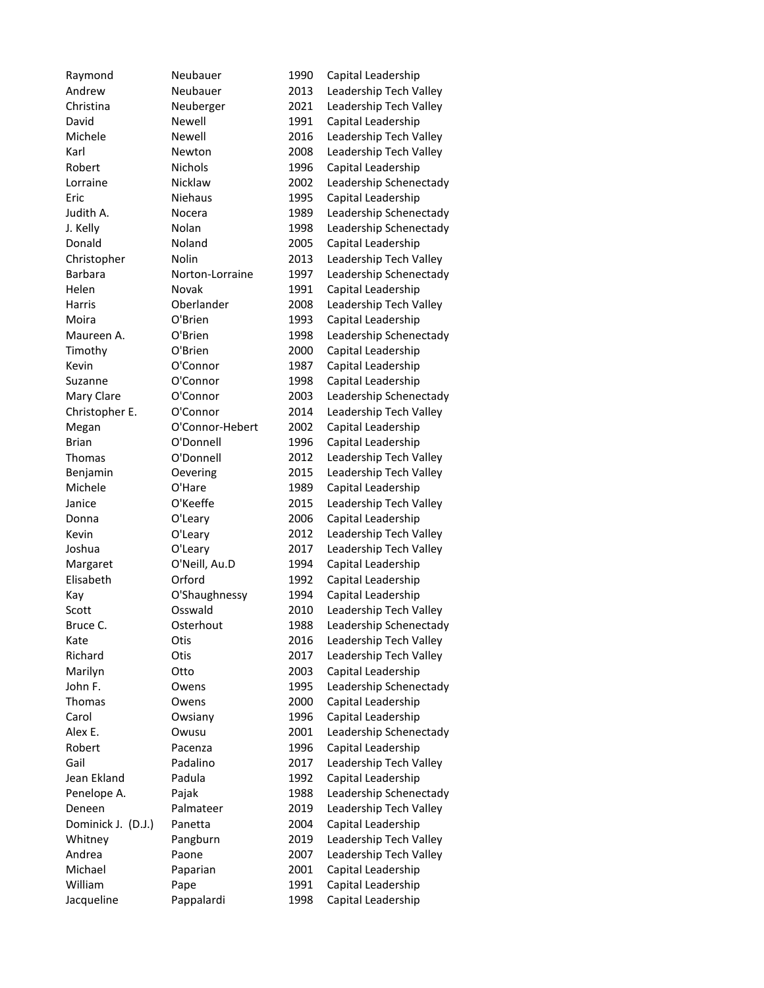Raymond Neubauer 1990 Capital Leadership Andrew Neubauer 2013 Leadership Tech Valley Christina Neuberger 2021 Leadership Tech Valley David Newell 1991 Capital Leadership Michele Mewell 2016 Leadership Tech Valley Karl Newton 2008 Leadership Tech Valley Robert Nichols 1996 Capital Leadership Lorraine Nicklaw 2002 Leadership Schenectady Eric Niehaus 1995 Capital Leadership Judith A. Nocera 1989 Leadership Schenectady J. Kelly Nolan 1998 Leadership Schenectady Donald Noland 2005 Capital Leadership Christopher Nolin 2013 Leadership Tech Valley Barbara Norton-Lorraine 1997 Leadership Schenectady Helen Novak 1991 Capital Leadership Harris Oberlander 2008 Leadership Tech Valley Moira O'Brien 1993 Capital Leadership Maureen A. C'Brien 1998 Leadership Schenectady Timothy O'Brien 2000 Capital Leadership Kevin **O'Connor** 1987 Capital Leadership Suzanne O'Connor 1998 Capital Leadership Mary Clare **O'Connor** 2003 Leadership Schenectady Christopher E. O'Connor 2014 Leadership Tech Valley Megan O'Connor-Hebert 2002 Capital Leadership Brian O'Donnell 1996 Capital Leadership Thomas O'Donnell 2012 Leadership Tech Valley Benjamin Oevering 2015 Leadership Tech Valley Michele **O'Hare** 1989 Capital Leadership Janice O'Keeffe 2015 Leadership Tech Valley Donna O'Leary 2006 Capital Leadership Kevin O'Leary 2012 Leadership Tech Valley Joshua O'Leary 2017 Leadership Tech Valley Margaret O'Neill, Au.D 1994 Capital Leadership Elisabeth Orford 1992 Capital Leadership Kay O'Shaughnessy 1994 Capital Leadership Scott Cosswald 2010 Leadership Tech Valley Bruce C. Costerhout 1988 Leadership Schenectady Kate **Otis** Otis 2016 Leadership Tech Valley Richard Otis 2017 Leadership Tech Valley Marilyn Otto 2003 Capital Leadership John F. Change Communist Communist Communist Communist Communist Communist Communist Communist Communist Communist Communist Communist Communist Communist Communist Communist Communist Communist Communist Communist Communi Thomas Owens 2000 Capital Leadership Carol Owsiany 1996 Capital Leadership Alex E. Change 2001 Leadership Schenectady Robert Pacenza 1996 Capital Leadership Gail Padalino 2017 Leadership Tech Valley Jean Ekland Padula 1992 Capital Leadership Penelope A. Pajak 1988 Leadership Schenectady Deneen Palmateer 2019 Leadership Tech Valley Dominick J. (D.J.) Panetta 2004 Capital Leadership Whitney Pangburn 2019 Leadership Tech Valley Andrea Paone 2007 Leadership Tech Valley Michael Paparian 2001 Capital Leadership William Pape 1991 Capital Leadership Jacqueline Pappalardi 1998 Capital Leadership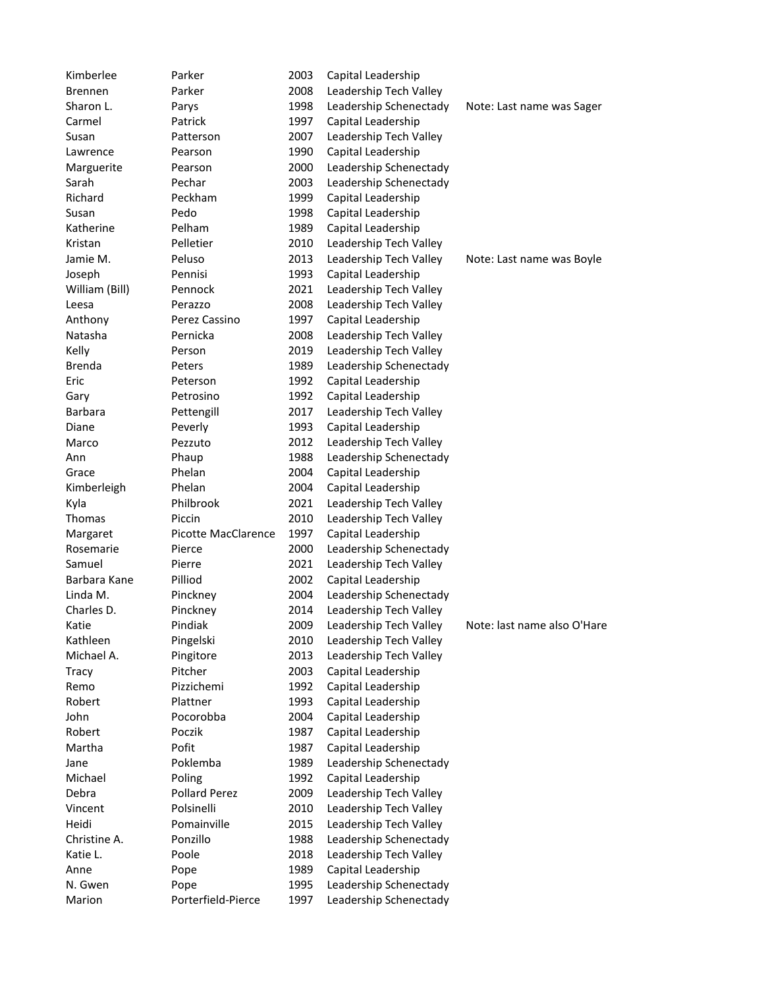| Kimberlee        | Parker                             | 2003 | Capital Leadership     |                             |
|------------------|------------------------------------|------|------------------------|-----------------------------|
| Brennen          | Parker                             | 2008 | Leadership Tech Valley |                             |
| Sharon L.        | Parys                              | 1998 | Leadership Schenectady | Note: Last name was Sager   |
| Carmel           | Patrick                            | 1997 | Capital Leadership     |                             |
| Susan            | Patterson                          | 2007 | Leadership Tech Valley |                             |
| Lawrence         | Pearson                            | 1990 | Capital Leadership     |                             |
| Marguerite       | Pearson                            | 2000 | Leadership Schenectady |                             |
| Sarah            | Pechar                             | 2003 | Leadership Schenectady |                             |
| Richard          | Peckham                            | 1999 | Capital Leadership     |                             |
| Susan            | Pedo                               | 1998 | Capital Leadership     |                             |
| Katherine        | Pelham                             | 1989 | Capital Leadership     |                             |
| Kristan          | Pelletier                          | 2010 | Leadership Tech Valley |                             |
| Jamie M.         | Peluso                             | 2013 | Leadership Tech Valley | Note: Last name was Boyle   |
| Joseph           | Pennisi                            | 1993 | Capital Leadership     |                             |
| William (Bill)   | Pennock                            | 2021 | Leadership Tech Valley |                             |
| Leesa            | Perazzo                            | 2008 | Leadership Tech Valley |                             |
| Anthony          | Perez Cassino                      | 1997 | Capital Leadership     |                             |
| Natasha          | Pernicka                           | 2008 | Leadership Tech Valley |                             |
| Kelly            | Person                             | 2019 | Leadership Tech Valley |                             |
| Brenda           | Peters                             | 1989 | Leadership Schenectady |                             |
| Eric             | Peterson                           | 1992 | Capital Leadership     |                             |
| Gary             | Petrosino                          | 1992 | Capital Leadership     |                             |
| Barbara          | Pettengill                         | 2017 | Leadership Tech Valley |                             |
| Diane            | Peverly                            | 1993 | Capital Leadership     |                             |
| Marco            | Pezzuto                            | 2012 | Leadership Tech Valley |                             |
| Ann              | Phaup                              | 1988 | Leadership Schenectady |                             |
| Grace            | Phelan                             | 2004 | Capital Leadership     |                             |
| Kimberleigh      | Phelan                             | 2004 | Capital Leadership     |                             |
| Kyla             | Philbrook                          | 2021 | Leadership Tech Valley |                             |
| Thomas           | Piccin                             | 2010 | Leadership Tech Valley |                             |
| Margaret         | <b>Picotte MacClarence</b>         | 1997 | Capital Leadership     |                             |
| Rosemarie        | Pierce                             | 2000 | Leadership Schenectady |                             |
| Samuel           | Pierre                             | 2021 | Leadership Tech Valley |                             |
| Barbara Kane     | Pilliod                            | 2002 | Capital Leadership     |                             |
| Linda M.         | Pinckney                           | 2004 | Leadership Schenectady |                             |
| Charles D.       | Pinckney                           | 2014 | Leadership Tech Valley |                             |
| Katie            | Pindiak                            | 2009 | Leadership Tech Valley | Note: last name also O'Hare |
| Kathleen         | Pingelski                          | 2010 | Leadership Tech Valley |                             |
| Michael A.       | Pingitore                          | 2013 | Leadership Tech Valley |                             |
| Tracy            | Pitcher                            | 2003 | Capital Leadership     |                             |
| Remo             | Pizzichemi                         | 1992 | Capital Leadership     |                             |
| Robert           | Plattner                           | 1993 | Capital Leadership     |                             |
| John             | Pocorobba                          | 2004 | Capital Leadership     |                             |
| Robert           | Poczik                             | 1987 | Capital Leadership     |                             |
| Martha           | Pofit                              | 1987 | Capital Leadership     |                             |
|                  | Poklemba                           | 1989 | Leadership Schenectady |                             |
| Jane<br>Michael  | Poling                             | 1992 |                        |                             |
|                  |                                    |      | Capital Leadership     |                             |
| Debra<br>Vincent | <b>Pollard Perez</b><br>Polsinelli | 2009 | Leadership Tech Valley |                             |
|                  |                                    | 2010 | Leadership Tech Valley |                             |
| Heidi            | Pomainville                        | 2015 | Leadership Tech Valley |                             |
| Christine A.     | Ponzillo                           | 1988 | Leadership Schenectady |                             |
| Katie L.         | Poole                              | 2018 | Leadership Tech Valley |                             |
| Anne             | Pope                               | 1989 | Capital Leadership     |                             |
| N. Gwen          | Pope                               | 1995 | Leadership Schenectady |                             |
| Marion           | Porterfield-Pierce                 | 1997 | Leadership Schenectady |                             |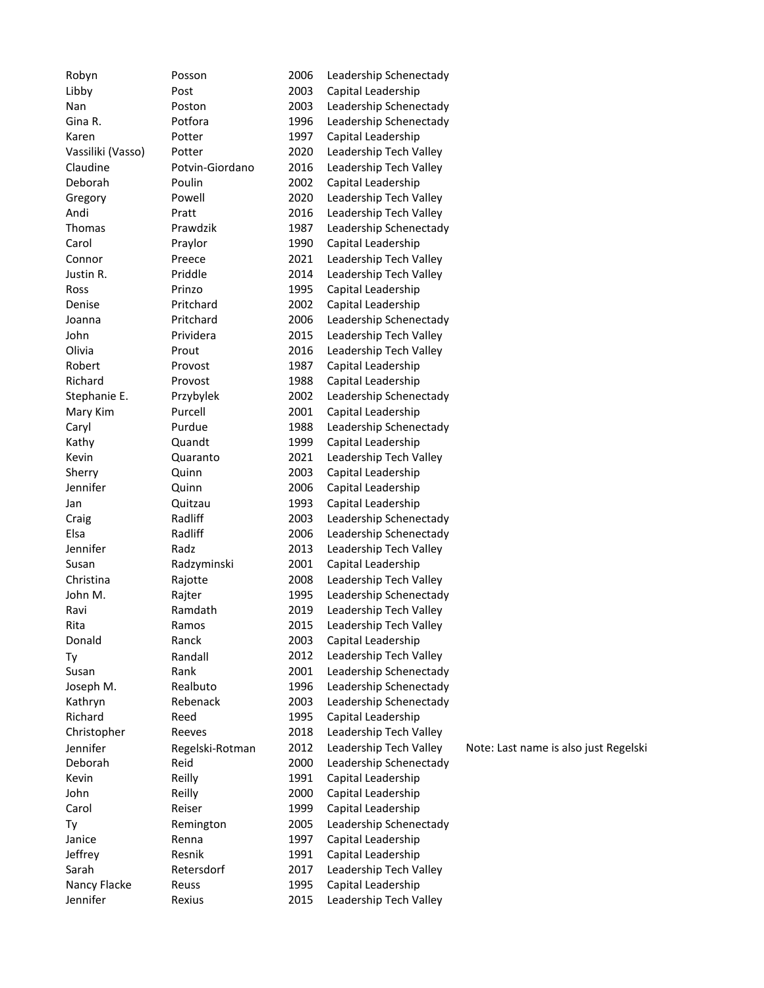| Robyn             | Posson          | 2006 | Leadership Schenectady |                                       |
|-------------------|-----------------|------|------------------------|---------------------------------------|
| Libby             | Post            | 2003 | Capital Leadership     |                                       |
| Nan               | Poston          | 2003 | Leadership Schenectady |                                       |
| Gina R.           | Potfora         | 1996 | Leadership Schenectady |                                       |
| Karen             | Potter          | 1997 | Capital Leadership     |                                       |
| Vassiliki (Vasso) | Potter          | 2020 | Leadership Tech Valley |                                       |
| Claudine          | Potvin-Giordano | 2016 | Leadership Tech Valley |                                       |
| Deborah           | Poulin          | 2002 | Capital Leadership     |                                       |
| Gregory           | Powell          | 2020 | Leadership Tech Valley |                                       |
| Andi              | Pratt           | 2016 | Leadership Tech Valley |                                       |
| Thomas            | Prawdzik        | 1987 | Leadership Schenectady |                                       |
| Carol             | Praylor         | 1990 | Capital Leadership     |                                       |
| Connor            | Preece          | 2021 | Leadership Tech Valley |                                       |
| Justin R.         | Priddle         | 2014 | Leadership Tech Valley |                                       |
| Ross              | Prinzo          | 1995 | Capital Leadership     |                                       |
| Denise            | Pritchard       | 2002 | Capital Leadership     |                                       |
|                   | Pritchard       | 2006 |                        |                                       |
| Joanna            | Prividera       | 2015 | Leadership Schenectady |                                       |
| John              |                 |      | Leadership Tech Valley |                                       |
| Olivia            | Prout           | 2016 | Leadership Tech Valley |                                       |
| Robert            | Provost         | 1987 | Capital Leadership     |                                       |
| Richard           | Provost         | 1988 | Capital Leadership     |                                       |
| Stephanie E.      | Przybylek       | 2002 | Leadership Schenectady |                                       |
| Mary Kim          | Purcell         | 2001 | Capital Leadership     |                                       |
| Caryl             | Purdue          | 1988 | Leadership Schenectady |                                       |
| Kathy             | Quandt          | 1999 | Capital Leadership     |                                       |
| Kevin             | Quaranto        | 2021 | Leadership Tech Valley |                                       |
| Sherry            | Quinn           | 2003 | Capital Leadership     |                                       |
| Jennifer          | Quinn           | 2006 | Capital Leadership     |                                       |
| Jan               | Quitzau         | 1993 | Capital Leadership     |                                       |
| Craig             | Radliff         | 2003 | Leadership Schenectady |                                       |
| Elsa              | Radliff         | 2006 | Leadership Schenectady |                                       |
| Jennifer          | Radz            | 2013 | Leadership Tech Valley |                                       |
| Susan             | Radzyminski     | 2001 | Capital Leadership     |                                       |
| Christina         | Rajotte         | 2008 | Leadership Tech Valley |                                       |
| John M.           | Rajter          | 1995 | Leadership Schenectady |                                       |
| Ravi              | Ramdath         | 2019 | Leadership Tech Valley |                                       |
| Rita              | Ramos           | 2015 | Leadership Tech Valley |                                       |
| Donald            | Ranck           | 2003 | Capital Leadership     |                                       |
| Ty                | Randall         | 2012 | Leadership Tech Valley |                                       |
| Susan             | Rank            | 2001 | Leadership Schenectady |                                       |
| Joseph M.         | Realbuto        | 1996 | Leadership Schenectady |                                       |
| Kathryn           | Rebenack        | 2003 | Leadership Schenectady |                                       |
| Richard           | Reed            | 1995 | Capital Leadership     |                                       |
| Christopher       | Reeves          | 2018 | Leadership Tech Valley |                                       |
| Jennifer          | Regelski-Rotman | 2012 | Leadership Tech Valley | Note: Last name is also just Regelski |
| Deborah           | Reid            | 2000 | Leadership Schenectady |                                       |
| Kevin             | Reilly          | 1991 | Capital Leadership     |                                       |
| John              | Reilly          | 2000 | Capital Leadership     |                                       |
| Carol             | Reiser          | 1999 | Capital Leadership     |                                       |
| Ty                | Remington       | 2005 | Leadership Schenectady |                                       |
| Janice            | Renna           | 1997 | Capital Leadership     |                                       |
| Jeffrey           | Resnik          | 1991 | Capital Leadership     |                                       |
| Sarah             | Retersdorf      | 2017 | Leadership Tech Valley |                                       |
| Nancy Flacke      | Reuss           | 1995 | Capital Leadership     |                                       |
| Jennifer          | Rexius          | 2015 | Leadership Tech Valley |                                       |
|                   |                 |      |                        |                                       |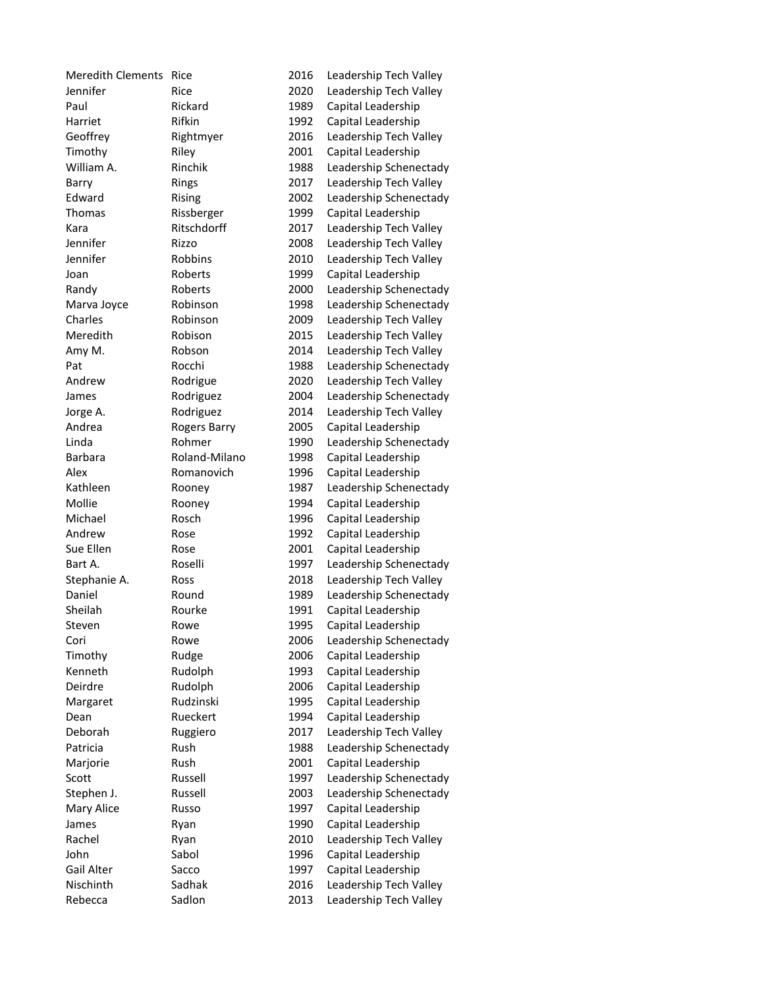| Meredith Clements Rice |                     | 2016 | Leadership Tech Valley                       |
|------------------------|---------------------|------|----------------------------------------------|
| Jennifer               | Rice                | 2020 | Leadership Tech Valley                       |
| Paul                   | Rickard             | 1989 | Capital Leadership                           |
| Harriet                | Rifkin              | 1992 | Capital Leadership                           |
| Geoffrey               | Rightmyer           | 2016 | Leadership Tech Valley                       |
| Timothy                | Riley               | 2001 | Capital Leadership                           |
| William A.             | Rinchik             | 1988 | Leadership Schenectady                       |
| Barry                  | Rings               | 2017 | Leadership Tech Valley                       |
| Edward                 | Rising              | 2002 | Leadership Schenectady                       |
| Thomas                 | Rissberger          | 1999 | Capital Leadership                           |
| Kara                   | Ritschdorff         | 2017 | Leadership Tech Valley                       |
| Jennifer               | Rizzo               | 2008 | Leadership Tech Valley                       |
| Jennifer               | <b>Robbins</b>      | 2010 | Leadership Tech Valley                       |
| Joan                   | Roberts             | 1999 | Capital Leadership                           |
| Randy                  | Roberts             | 2000 | Leadership Schenectady                       |
| Marva Joyce            | Robinson            | 1998 | Leadership Schenectady                       |
| Charles                | Robinson            | 2009 | Leadership Tech Valley                       |
| Meredith               | Robison             | 2015 | Leadership Tech Valley                       |
| Amy M.                 | Robson              | 2014 | Leadership Tech Valley                       |
| Pat                    | Rocchi              | 1988 | Leadership Schenectady                       |
| Andrew                 | Rodrigue            | 2020 | Leadership Tech Valley                       |
| James                  | Rodriguez           | 2004 | Leadership Schenectady                       |
| Jorge A.               | Rodriguez           | 2014 | Leadership Tech Valley                       |
| Andrea                 | <b>Rogers Barry</b> | 2005 | Capital Leadership                           |
| Linda                  | Rohmer              | 1990 | Leadership Schenectady                       |
| Barbara                | Roland-Milano       | 1998 | Capital Leadership                           |
| Alex                   | Romanovich          | 1996 | Capital Leadership                           |
| Kathleen               | Rooney              | 1987 | Leadership Schenectady                       |
| Mollie                 | Rooney              | 1994 | Capital Leadership                           |
| Michael                | Rosch               | 1996 | Capital Leadership                           |
| Andrew                 | Rose                | 1992 | Capital Leadership                           |
| Sue Ellen              | Rose                | 2001 | Capital Leadership                           |
| Bart A.                | Roselli             | 1997 | Leadership Schenectady                       |
| Stephanie A.           | Ross                | 2018 | Leadership Tech Valley                       |
| Daniel                 | Round               | 1989 | Leadership Schenectady                       |
| Sheilah                | Rourke              | 1991 | Capital Leadership                           |
| Steven                 | Rowe                | 1995 | Capital Leadership                           |
| Cori                   | Rowe                | 2006 | Leadership Schenectady                       |
| Timothy                | Rudge               | 2006 | Capital Leadership                           |
| Kenneth                | Rudolph             | 1993 | Capital Leadership                           |
| Deirdre                | Rudolph             | 2006 | Capital Leadership                           |
| Margaret               | Rudzinski           | 1995 | Capital Leadership                           |
| Dean                   | Rueckert            | 1994 | Capital Leadership                           |
| Deborah                | Ruggiero            | 2017 | Leadership Tech Valley                       |
| Patricia               | Rush                | 1988 | Leadership Schenectady                       |
| Marjorie               | Rush                | 2001 | Capital Leadership                           |
| Scott                  | Russell             | 1997 | Leadership Schenectady                       |
| Stephen J.             | Russell             | 2003 | Leadership Schenectady                       |
| Mary Alice             | Russo               | 1997 | Capital Leadership                           |
| James                  |                     | 1990 | Capital Leadership                           |
| Rachel                 | Ryan                | 2010 |                                              |
| John                   | Ryan<br>Sabol       | 1996 | Leadership Tech Valley<br>Capital Leadership |
| Gail Alter             |                     | 1997 |                                              |
| Nischinth              | Sacco<br>Sadhak     |      | Capital Leadership<br>Leadership Tech Valley |
| Rebecca                | Sadlon              | 2016 |                                              |
|                        |                     | 2013 | Leadership Tech Valley                       |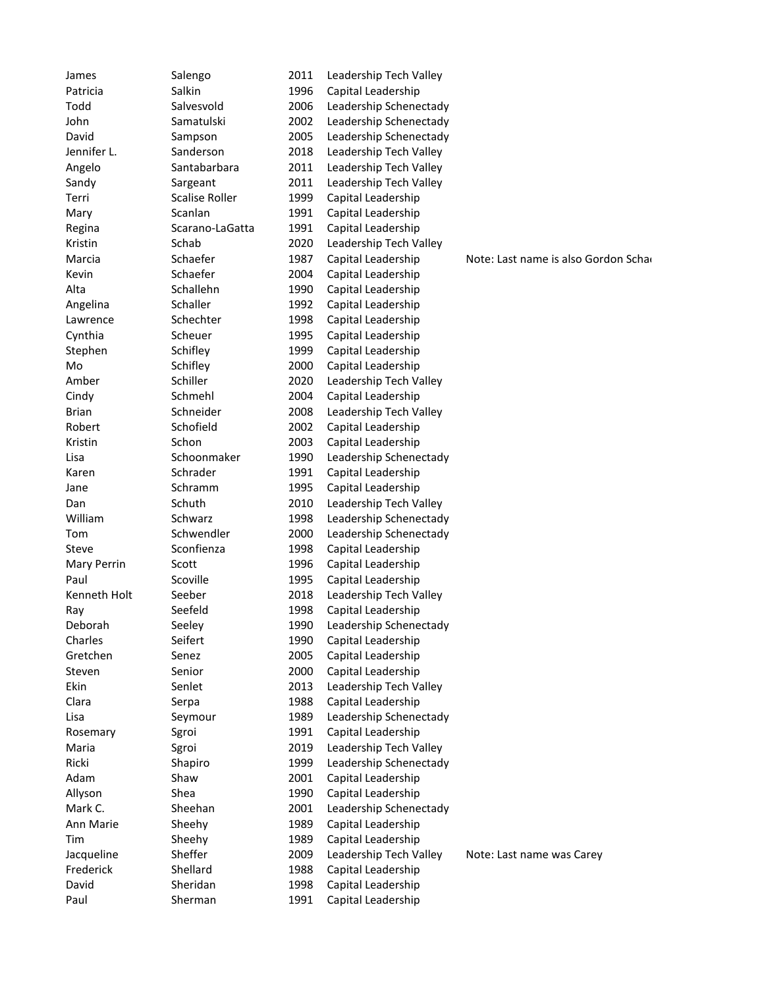| James              | Salengo               | 2011 | Leadership Tech Valley |                                      |
|--------------------|-----------------------|------|------------------------|--------------------------------------|
| Patricia           | Salkin                | 1996 | Capital Leadership     |                                      |
| Todd               | Salvesvold            | 2006 | Leadership Schenectady |                                      |
| John               | Samatulski            | 2002 | Leadership Schenectady |                                      |
| David              | Sampson               | 2005 | Leadership Schenectady |                                      |
| Jennifer L.        | Sanderson             | 2018 | Leadership Tech Valley |                                      |
| Angelo             | Santabarbara          | 2011 | Leadership Tech Valley |                                      |
| Sandy              | Sargeant              | 2011 | Leadership Tech Valley |                                      |
| Terri              | <b>Scalise Roller</b> | 1999 | Capital Leadership     |                                      |
| Mary               | Scanlan               | 1991 | Capital Leadership     |                                      |
| Regina             | Scarano-LaGatta       | 1991 | Capital Leadership     |                                      |
| Kristin            | Schab                 | 2020 | Leadership Tech Valley |                                      |
| Marcia             | Schaefer              | 1987 | Capital Leadership     | Note: Last name is also Gordon Schar |
| Kevin              | Schaefer              | 2004 | Capital Leadership     |                                      |
| Alta               | Schallehn             | 1990 | Capital Leadership     |                                      |
| Angelina           | Schaller              | 1992 | Capital Leadership     |                                      |
| Lawrence           | Schechter             | 1998 | Capital Leadership     |                                      |
| Cynthia            | Scheuer               | 1995 | Capital Leadership     |                                      |
| Stephen            | Schifley              | 1999 | Capital Leadership     |                                      |
| Mo                 | Schifley              | 2000 | Capital Leadership     |                                      |
| Amber              | Schiller              | 2020 | Leadership Tech Valley |                                      |
| Cindy              | Schmehl               | 2004 | Capital Leadership     |                                      |
| <b>Brian</b>       | Schneider             | 2008 | Leadership Tech Valley |                                      |
| Robert             | Schofield             | 2002 | Capital Leadership     |                                      |
| Kristin            | Schon                 | 2003 | Capital Leadership     |                                      |
| Lisa               | Schoonmaker           | 1990 | Leadership Schenectady |                                      |
| Karen              | Schrader              | 1991 | Capital Leadership     |                                      |
| Jane               | Schramm               | 1995 | Capital Leadership     |                                      |
| Dan                | Schuth                | 2010 | Leadership Tech Valley |                                      |
| William            | Schwarz               | 1998 | Leadership Schenectady |                                      |
| Tom                | Schwendler            | 2000 | Leadership Schenectady |                                      |
| Steve              | Sconfienza            | 1998 | Capital Leadership     |                                      |
| <b>Mary Perrin</b> | Scott                 | 1996 | Capital Leadership     |                                      |
| Paul               | Scoville              | 1995 | Capital Leadership     |                                      |
| Kenneth Holt       | Seeber                | 2018 | Leadership Tech Valley |                                      |
| Ray                | Seefeld               | 1998 | Capital Leadership     |                                      |
| Deborah            | Seeley                | 1990 | Leadership Schenectady |                                      |
| Charles            | Seifert               | 1990 | Capital Leadership     |                                      |
| Gretchen           | Senez                 | 2005 | Capital Leadership     |                                      |
| Steven             | Senior                | 2000 | Capital Leadership     |                                      |
| Ekin               | Senlet                | 2013 | Leadership Tech Valley |                                      |
| Clara              | Serpa                 | 1988 | Capital Leadership     |                                      |
| Lisa               | Seymour               | 1989 | Leadership Schenectady |                                      |
| Rosemary           | Sgroi                 | 1991 | Capital Leadership     |                                      |
| Maria              | Sgroi                 | 2019 | Leadership Tech Valley |                                      |
| Ricki              | Shapiro               | 1999 | Leadership Schenectady |                                      |
| Adam               | Shaw                  | 2001 | Capital Leadership     |                                      |
| Allyson            | Shea                  | 1990 | Capital Leadership     |                                      |
| Mark C.            | Sheehan               | 2001 | Leadership Schenectady |                                      |
| Ann Marie          | Sheehy                | 1989 | Capital Leadership     |                                      |
| Tim                | Sheehy                | 1989 | Capital Leadership     |                                      |
| Jacqueline         | Sheffer               | 2009 | Leadership Tech Valley | Note: Last name was Carey            |
| Frederick          | Shellard              | 1988 | Capital Leadership     |                                      |
| David              | Sheridan              | 1998 | Capital Leadership     |                                      |
| Paul               | Sherman               | 1991 | Capital Leadership     |                                      |
|                    |                       |      |                        |                                      |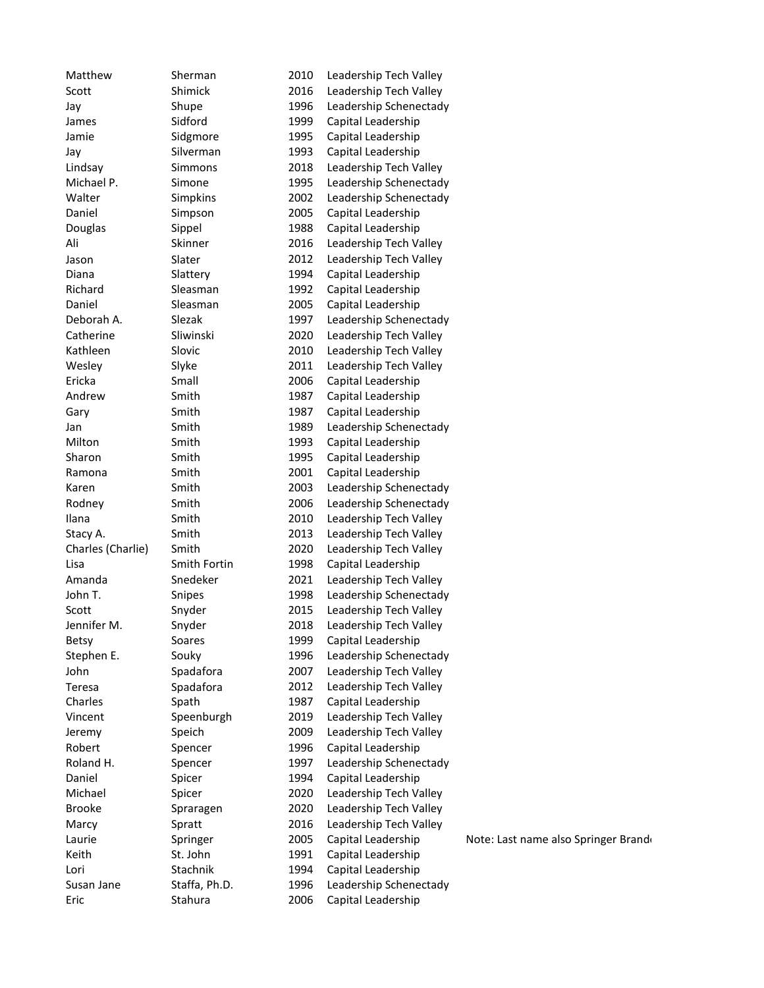| Matthew           | Sherman            | 2010 | Leadership Tech Valley |                                     |
|-------------------|--------------------|------|------------------------|-------------------------------------|
| Scott             | Shimick            | 2016 | Leadership Tech Valley |                                     |
| Jay               | Shupe              | 1996 | Leadership Schenectady |                                     |
| James             | Sidford            | 1999 | Capital Leadership     |                                     |
| Jamie             | Sidgmore           | 1995 | Capital Leadership     |                                     |
| Jay               | Silverman          | 1993 | Capital Leadership     |                                     |
| Lindsay           | Simmons            | 2018 | Leadership Tech Valley |                                     |
| Michael P.        | Simone             | 1995 | Leadership Schenectady |                                     |
| Walter            | Simpkins           | 2002 | Leadership Schenectady |                                     |
| Daniel            | Simpson            | 2005 | Capital Leadership     |                                     |
| Douglas           | Sippel             | 1988 | Capital Leadership     |                                     |
| Ali               | Skinner            | 2016 | Leadership Tech Valley |                                     |
| Jason             | Slater             | 2012 | Leadership Tech Valley |                                     |
| Diana             | Slattery           | 1994 | Capital Leadership     |                                     |
| Richard           | Sleasman           | 1992 | Capital Leadership     |                                     |
| Daniel            | Sleasman           | 2005 | Capital Leadership     |                                     |
| Deborah A.        | Slezak             | 1997 | Leadership Schenectady |                                     |
| Catherine         | Sliwinski          | 2020 | Leadership Tech Valley |                                     |
| Kathleen          | Slovic             | 2010 | Leadership Tech Valley |                                     |
| Wesley            | Slyke              | 2011 | Leadership Tech Valley |                                     |
| Ericka            | Small              | 2006 | Capital Leadership     |                                     |
| Andrew            | Smith              | 1987 | Capital Leadership     |                                     |
| Gary              | Smith              | 1987 | Capital Leadership     |                                     |
| Jan               | Smith              | 1989 | Leadership Schenectady |                                     |
| Milton            | Smith              | 1993 | Capital Leadership     |                                     |
| Sharon            | Smith              | 1995 | Capital Leadership     |                                     |
| Ramona            | Smith              | 2001 | Capital Leadership     |                                     |
| Karen             | Smith              | 2003 | Leadership Schenectady |                                     |
| Rodney            | Smith              | 2006 | Leadership Schenectady |                                     |
| Ilana             | Smith              | 2010 | Leadership Tech Valley |                                     |
| Stacy A.          | Smith              | 2013 | Leadership Tech Valley |                                     |
| Charles (Charlie) | Smith              | 2020 | Leadership Tech Valley |                                     |
| Lisa              | Smith Fortin       | 1998 | Capital Leadership     |                                     |
| Amanda            | Snedeker           | 2021 | Leadership Tech Valley |                                     |
| John T.           | Snipes             | 1998 | Leadership Schenectady |                                     |
| Scott             | Snyder             | 2015 | Leadership Tech Valley |                                     |
| Jennifer M.       | Snyder             | 2018 | Leadership Tech Valley |                                     |
| <b>Betsy</b>      | Soares             | 1999 | Capital Leadership     |                                     |
| Stephen E.        | Souky              | 1996 | Leadership Schenectady |                                     |
| John              | Spadafora          | 2007 | Leadership Tech Valley |                                     |
|                   |                    | 2012 | Leadership Tech Valley |                                     |
| Teresa<br>Charles | Spadafora<br>Spath | 1987 | Capital Leadership     |                                     |
| Vincent           |                    | 2019 | Leadership Tech Valley |                                     |
|                   | Speenburgh         | 2009 | Leadership Tech Valley |                                     |
| Jeremy<br>Robert  | Speich             | 1996 |                        |                                     |
| Roland H.         | Spencer            |      | Capital Leadership     |                                     |
|                   | Spencer            | 1997 | Leadership Schenectady |                                     |
| Daniel            | Spicer             | 1994 | Capital Leadership     |                                     |
| Michael           | Spicer             | 2020 | Leadership Tech Valley |                                     |
| <b>Brooke</b>     | Spraragen          | 2020 | Leadership Tech Valley |                                     |
| Marcy             | Spratt             | 2016 | Leadership Tech Valley |                                     |
| Laurie            | Springer           | 2005 | Capital Leadership     | Note: Last name also Springer Brand |
| Keith             | St. John           | 1991 | Capital Leadership     |                                     |
| Lori              | Stachnik           | 1994 | Capital Leadership     |                                     |
| Susan Jane        | Staffa, Ph.D.      | 1996 | Leadership Schenectady |                                     |
| Eric              | Stahura            | 2006 | Capital Leadership     |                                     |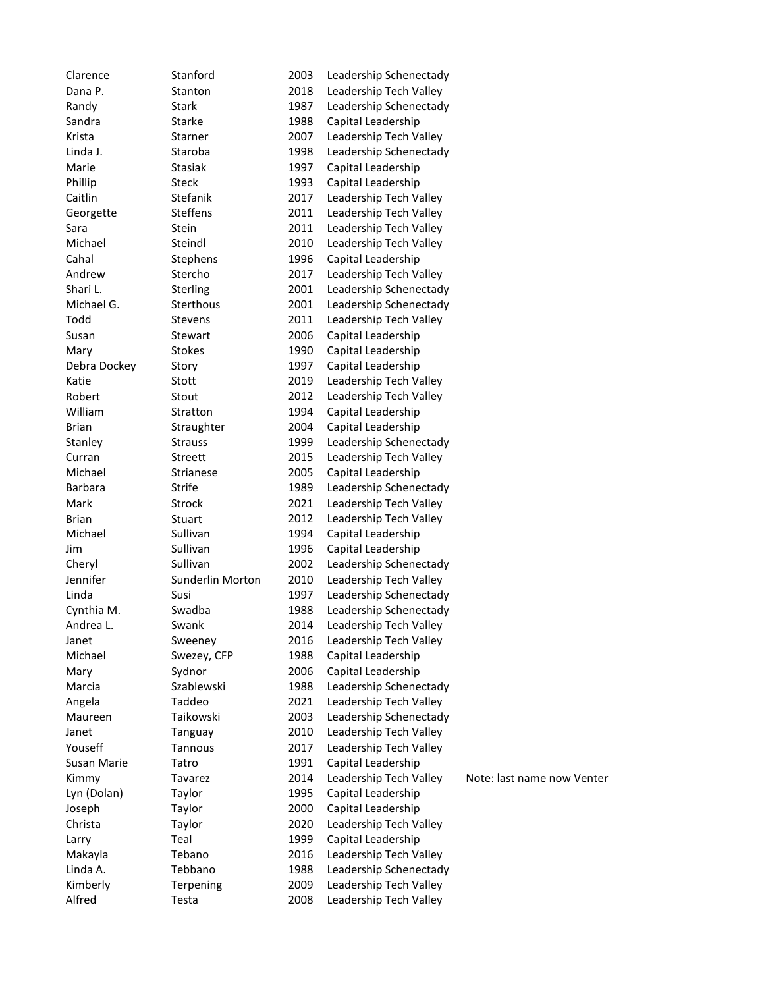| Clarence       | Stanford         | 2003 | Leadership Schenectady |                            |
|----------------|------------------|------|------------------------|----------------------------|
| Dana P.        | Stanton          | 2018 | Leadership Tech Valley |                            |
| Randy          | <b>Stark</b>     | 1987 | Leadership Schenectady |                            |
| Sandra         | Starke           | 1988 | Capital Leadership     |                            |
| Krista         | Starner          | 2007 | Leadership Tech Valley |                            |
| Linda J.       | Staroba          | 1998 | Leadership Schenectady |                            |
| Marie          | <b>Stasiak</b>   | 1997 | Capital Leadership     |                            |
| Phillip        | <b>Steck</b>     | 1993 | Capital Leadership     |                            |
| Caitlin        | Stefanik         | 2017 | Leadership Tech Valley |                            |
| Georgette      | <b>Steffens</b>  | 2011 | Leadership Tech Valley |                            |
| Sara           | Stein            | 2011 | Leadership Tech Valley |                            |
| Michael        | Steindl          | 2010 | Leadership Tech Valley |                            |
| Cahal          | Stephens         | 1996 | Capital Leadership     |                            |
| Andrew         | Stercho          | 2017 | Leadership Tech Valley |                            |
| Shari L.       | Sterling         | 2001 | Leadership Schenectady |                            |
| Michael G.     | Sterthous        | 2001 | Leadership Schenectady |                            |
| Todd           | <b>Stevens</b>   | 2011 | Leadership Tech Valley |                            |
| Susan          | Stewart          | 2006 | Capital Leadership     |                            |
| Mary           | <b>Stokes</b>    | 1990 | Capital Leadership     |                            |
| Debra Dockey   | Story            | 1997 | Capital Leadership     |                            |
| Katie          | Stott            | 2019 | Leadership Tech Valley |                            |
| Robert         | Stout            | 2012 | Leadership Tech Valley |                            |
| William        | Stratton         | 1994 | Capital Leadership     |                            |
| <b>Brian</b>   | Straughter       | 2004 | Capital Leadership     |                            |
| Stanley        | <b>Strauss</b>   | 1999 | Leadership Schenectady |                            |
| Curran         | Streett          | 2015 | Leadership Tech Valley |                            |
| Michael        | Strianese        | 2005 | Capital Leadership     |                            |
| <b>Barbara</b> | Strife           | 1989 | Leadership Schenectady |                            |
| Mark           | Strock           | 2021 | Leadership Tech Valley |                            |
| <b>Brian</b>   | Stuart           | 2012 | Leadership Tech Valley |                            |
| Michael        | Sullivan         | 1994 | Capital Leadership     |                            |
| Jim            | Sullivan         | 1996 | Capital Leadership     |                            |
| Cheryl         | Sullivan         | 2002 | Leadership Schenectady |                            |
| Jennifer       | Sunderlin Morton | 2010 | Leadership Tech Valley |                            |
| Linda          | Susi             | 1997 | Leadership Schenectady |                            |
| Cynthia M.     | Swadba           | 1988 | Leadership Schenectady |                            |
| Andrea L.      | Swank            | 2014 | Leadership Tech Valley |                            |
| Janet          | Sweeney          | 2016 | Leadership Tech Valley |                            |
| Michael        | Swezey, CFP      | 1988 | Capital Leadership     |                            |
| Mary           | Sydnor           | 2006 | Capital Leadership     |                            |
| Marcia         | Szablewski       | 1988 | Leadership Schenectady |                            |
| Angela         | Taddeo           | 2021 | Leadership Tech Valley |                            |
| Maureen        | Taikowski        | 2003 | Leadership Schenectady |                            |
| Janet          | Tanguay          | 2010 | Leadership Tech Valley |                            |
| Youseff        | Tannous          | 2017 | Leadership Tech Valley |                            |
| Susan Marie    | Tatro            | 1991 | Capital Leadership     |                            |
| Kimmy          | Tavarez          | 2014 | Leadership Tech Valley | Note: last name now Venter |
| Lyn (Dolan)    | Taylor           | 1995 | Capital Leadership     |                            |
| Joseph         | Taylor           | 2000 | Capital Leadership     |                            |
| Christa        | Taylor           | 2020 | Leadership Tech Valley |                            |
| Larry          | Teal             | 1999 | Capital Leadership     |                            |
| Makayla        | Tebano           | 2016 | Leadership Tech Valley |                            |
| Linda A.       | Tebbano          | 1988 | Leadership Schenectady |                            |
| Kimberly       | Terpening        | 2009 | Leadership Tech Valley |                            |
| Alfred         | Testa            | 2008 | Leadership Tech Valley |                            |
|                |                  |      |                        |                            |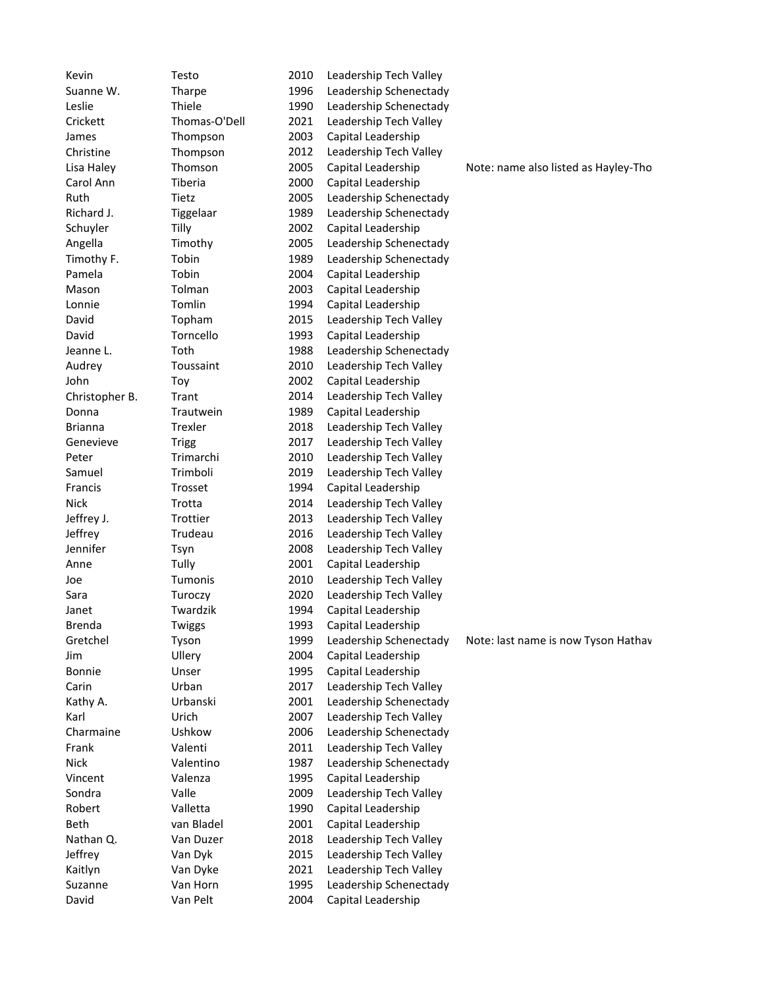| Kevin          | Testo         | 2010         | Leadership Tech Valley                   |                                      |
|----------------|---------------|--------------|------------------------------------------|--------------------------------------|
| Suanne W.      | Tharpe        | 1996         | Leadership Schenectady                   |                                      |
| Leslie         | Thiele        | 1990         | Leadership Schenectady                   |                                      |
| Crickett       | Thomas-O'Dell | 2021         | Leadership Tech Valley                   |                                      |
| James          | Thompson      | 2003         | Capital Leadership                       |                                      |
| Christine      | Thompson      | 2012         | Leadership Tech Valley                   |                                      |
| Lisa Haley     | Thomson       | 2005         | Capital Leadership                       | Note: name also listed as Hayley-Tho |
| Carol Ann      | Tiberia       | 2000         | Capital Leadership                       |                                      |
| Ruth           | Tietz         | 2005         | Leadership Schenectady                   |                                      |
| Richard J.     | Tiggelaar     | 1989         | Leadership Schenectady                   |                                      |
| Schuyler       | Tilly         | 2002         | Capital Leadership                       |                                      |
| Angella        | Timothy       | 2005         | Leadership Schenectady                   |                                      |
| Timothy F.     | Tobin         | 1989         | Leadership Schenectady                   |                                      |
| Pamela         | Tobin         | 2004         | Capital Leadership                       |                                      |
| Mason          | Tolman        | 2003         | Capital Leadership                       |                                      |
| Lonnie         | Tomlin        | 1994         | Capital Leadership                       |                                      |
| David          | Topham        | 2015         | Leadership Tech Valley                   |                                      |
| David          | Torncello     | 1993         | Capital Leadership                       |                                      |
| Jeanne L.      | Toth          | 1988         | Leadership Schenectady                   |                                      |
| Audrey         | Toussaint     | 2010         | Leadership Tech Valley                   |                                      |
| John           | Toy           | 2002         | Capital Leadership                       |                                      |
| Christopher B. | Trant         | 2014         | Leadership Tech Valley                   |                                      |
| Donna          | Trautwein     | 1989         | Capital Leadership                       |                                      |
| <b>Brianna</b> | Trexler       | 2018         | Leadership Tech Valley                   |                                      |
| Genevieve      | <b>Trigg</b>  | 2017         | Leadership Tech Valley                   |                                      |
| Peter          | Trimarchi     | 2010         | Leadership Tech Valley                   |                                      |
| Samuel         | Trimboli      | 2019         | Leadership Tech Valley                   |                                      |
| Francis        | Trosset       | 1994         | Capital Leadership                       |                                      |
| <b>Nick</b>    | Trotta        | 2014         | Leadership Tech Valley                   |                                      |
| Jeffrey J.     | Trottier      | 2013         | Leadership Tech Valley                   |                                      |
| Jeffrey        | Trudeau       | 2016         | Leadership Tech Valley                   |                                      |
| Jennifer       |               | 2008         | Leadership Tech Valley                   |                                      |
| Anne           | Tsyn<br>Tully | 2001         | Capital Leadership                       |                                      |
|                | Tumonis       | 2010         | Leadership Tech Valley                   |                                      |
| Joe            |               |              | Leadership Tech Valley                   |                                      |
| Sara           | Turoczy       | 2020         |                                          |                                      |
| Janet          | Twardzik      | 1994<br>1993 | Capital Leadership<br>Capital Leadership |                                      |
| <b>Brenda</b>  | Twiggs        |              |                                          |                                      |
| Gretchel       | Tyson         | 1999         | Leadership Schenectady                   | Note: last name is now Tyson Hathav  |
| Jim            | Ullery        | 2004         | Capital Leadership                       |                                      |
| <b>Bonnie</b>  | Unser         | 1995         | Capital Leadership                       |                                      |
| Carin          | Urban         | 2017         | Leadership Tech Valley                   |                                      |
| Kathy A.       | Urbanski      | 2001         | Leadership Schenectady                   |                                      |
| Karl           | Urich         | 2007         | Leadership Tech Valley                   |                                      |
| Charmaine      | Ushkow        | 2006         | Leadership Schenectady                   |                                      |
| Frank          | Valenti       | 2011         | Leadership Tech Valley                   |                                      |
| <b>Nick</b>    | Valentino     | 1987         | Leadership Schenectady                   |                                      |
| Vincent        | Valenza       | 1995         | Capital Leadership                       |                                      |
| Sondra         | Valle         | 2009         | Leadership Tech Valley                   |                                      |
| Robert         | Valletta      | 1990         | Capital Leadership                       |                                      |
| Beth           | van Bladel    | 2001         | Capital Leadership                       |                                      |
| Nathan Q.      | Van Duzer     | 2018         | Leadership Tech Valley                   |                                      |
| Jeffrey        | Van Dyk       | 2015         | Leadership Tech Valley                   |                                      |
| Kaitlyn        | Van Dyke      | 2021         | Leadership Tech Valley                   |                                      |
| Suzanne        | Van Horn      | 1995         | Leadership Schenectady                   |                                      |
| David          | Van Pelt      | 2004         | Capital Leadership                       |                                      |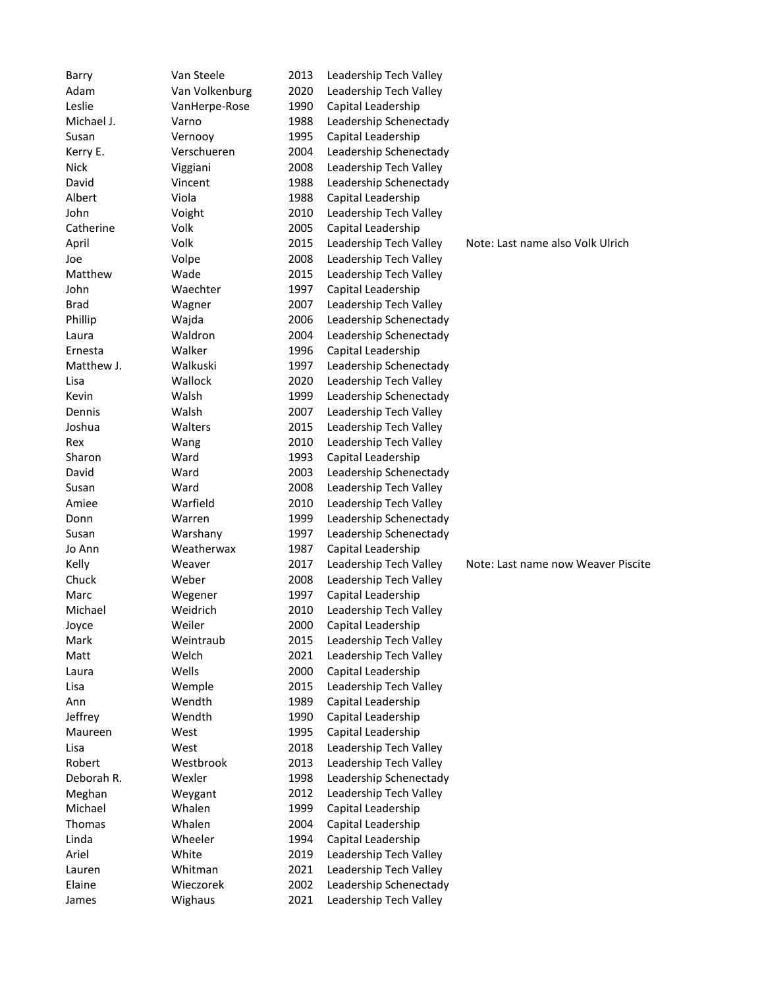| Barry       | Van Steele     | 2013 | Leadership Tech Valley |                                    |
|-------------|----------------|------|------------------------|------------------------------------|
| Adam        | Van Volkenburg | 2020 | Leadership Tech Valley |                                    |
| Leslie      | VanHerpe-Rose  | 1990 | Capital Leadership     |                                    |
| Michael J.  | Varno          | 1988 | Leadership Schenectady |                                    |
| Susan       | Vernooy        | 1995 | Capital Leadership     |                                    |
| Kerry E.    | Verschueren    | 2004 | Leadership Schenectady |                                    |
| <b>Nick</b> | Viggiani       | 2008 | Leadership Tech Valley |                                    |
| David       | Vincent        | 1988 | Leadership Schenectady |                                    |
| Albert      | Viola          | 1988 | Capital Leadership     |                                    |
| John        | Voight         | 2010 | Leadership Tech Valley |                                    |
| Catherine   | Volk           | 2005 | Capital Leadership     |                                    |
| April       | Volk           | 2015 | Leadership Tech Valley | Note: Last name also Volk Ulrich   |
| Joe         | Volpe          | 2008 | Leadership Tech Valley |                                    |
| Matthew     | Wade           | 2015 | Leadership Tech Valley |                                    |
| John        | Waechter       | 1997 | Capital Leadership     |                                    |
| <b>Brad</b> | Wagner         | 2007 | Leadership Tech Valley |                                    |
| Phillip     | Wajda          | 2006 | Leadership Schenectady |                                    |
| Laura       | Waldron        | 2004 | Leadership Schenectady |                                    |
| Ernesta     | Walker         | 1996 | Capital Leadership     |                                    |
| Matthew J.  | Walkuski       | 1997 | Leadership Schenectady |                                    |
| Lisa        | Wallock        | 2020 | Leadership Tech Valley |                                    |
| Kevin       | Walsh          | 1999 | Leadership Schenectady |                                    |
| Dennis      | Walsh          | 2007 | Leadership Tech Valley |                                    |
| Joshua      | Walters        | 2015 | Leadership Tech Valley |                                    |
| Rex         | Wang           | 2010 | Leadership Tech Valley |                                    |
| Sharon      | Ward           | 1993 | Capital Leadership     |                                    |
| David       | Ward           | 2003 | Leadership Schenectady |                                    |
| Susan       | Ward           | 2008 | Leadership Tech Valley |                                    |
| Amiee       | Warfield       | 2010 | Leadership Tech Valley |                                    |
| Donn        | Warren         | 1999 | Leadership Schenectady |                                    |
| Susan       | Warshany       | 1997 | Leadership Schenectady |                                    |
| Jo Ann      | Weatherwax     | 1987 | Capital Leadership     |                                    |
| Kelly       | Weaver         | 2017 | Leadership Tech Valley | Note: Last name now Weaver Piscite |
| Chuck       | Weber          | 2008 | Leadership Tech Valley |                                    |
| Marc        | Wegener        | 1997 | Capital Leadership     |                                    |
| Michael     | Weidrich       | 2010 | Leadership Tech Valley |                                    |
| Joyce       | Weiler         | 2000 | Capital Leadership     |                                    |
| Mark        | Weintraub      | 2015 | Leadership Tech Valley |                                    |
| Matt        | Welch          | 2021 | Leadership Tech Valley |                                    |
| Laura       | Wells          | 2000 | Capital Leadership     |                                    |
| Lisa        | Wemple         | 2015 | Leadership Tech Valley |                                    |
| Ann         | Wendth         | 1989 | Capital Leadership     |                                    |
| Jeffrey     | Wendth         | 1990 | Capital Leadership     |                                    |
| Maureen     | West           | 1995 | Capital Leadership     |                                    |
| Lisa        | West           | 2018 | Leadership Tech Valley |                                    |
| Robert      | Westbrook      | 2013 | Leadership Tech Valley |                                    |
| Deborah R.  | Wexler         | 1998 | Leadership Schenectady |                                    |
| Meghan      | Weygant        | 2012 | Leadership Tech Valley |                                    |
| Michael     | Whalen         | 1999 | Capital Leadership     |                                    |
| Thomas      | Whalen         | 2004 | Capital Leadership     |                                    |
| Linda       | Wheeler        | 1994 | Capital Leadership     |                                    |
| Ariel       | White          | 2019 | Leadership Tech Valley |                                    |
| Lauren      | Whitman        | 2021 | Leadership Tech Valley |                                    |
| Elaine      | Wieczorek      | 2002 | Leadership Schenectady |                                    |
| James       | Wighaus        | 2021 | Leadership Tech Valley |                                    |
|             |                |      |                        |                                    |